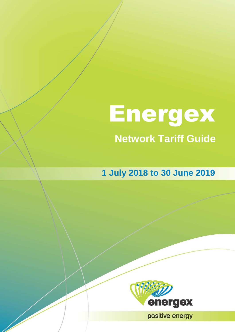# **Network Tariff Guide** Energex

**1 July 2018 to 30 June 2019**



**11- Energy Positive energy**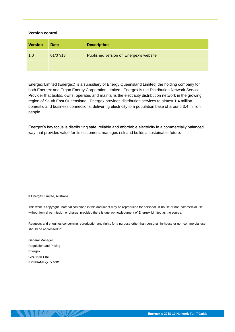#### **Version control**

| <b>Version</b> | <b>Date</b> | <b>Description</b>                     |
|----------------|-------------|----------------------------------------|
| 1.0            | 01/07/18    | Published version on Energex's website |
|                |             |                                        |

Energex Limited (Energex) is a subsidiary of Energy Queensland Limited, the holding company for both Energex and Ergon Energy Corporation Limited. Energex is the Distribution Network Service Provider that builds, owns, operates and maintains the electricity distribution network in the growing region of South East Queensland. Energex provides distribution services to almost 1.4 million domestic and business connections, delivering electricity to a population base of around 3.4 million people.

Energex's key focus is distributing safe, reliable and affordable electricity in a commercially balanced way that provides value for its customers, manages risk and builds a sustainable future.

#### © Energex Limited, Australia

This work is copyright. Material contained in this document may be reproduced for personal, in-house or non-commercial use, without formal permission or charge, provided there is due acknowledgment of Energex Limited as the source.

Requests and enquiries concerning reproduction and rights for a purpose other than personal, in-house or non-commercial use should be addressed to:

General Manager Regulation and Pricing Energex GPO Box 1461 BRISBANE QLD 4001

**THE NUMBER**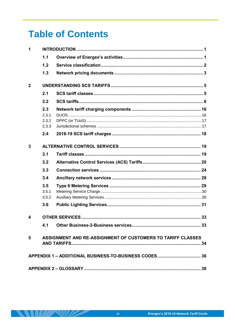# **Table of Contents**

| 1              |                       |                                                             |  |  |
|----------------|-----------------------|-------------------------------------------------------------|--|--|
|                | 1.1                   |                                                             |  |  |
|                | 1.2                   |                                                             |  |  |
|                | 1.3                   |                                                             |  |  |
| $\overline{2}$ |                       |                                                             |  |  |
|                | 2.1                   |                                                             |  |  |
|                | 2.2                   |                                                             |  |  |
|                | 2.3<br>2.3.1<br>2.3.2 |                                                             |  |  |
|                | 2.3.3<br>2.4          |                                                             |  |  |
|                |                       |                                                             |  |  |
| 3              |                       |                                                             |  |  |
|                | 3.1                   |                                                             |  |  |
|                | 3.2                   |                                                             |  |  |
|                | 3.3                   |                                                             |  |  |
|                | 3.4                   |                                                             |  |  |
|                | 3.5                   |                                                             |  |  |
|                | 3.5.1                 |                                                             |  |  |
|                | 3.5.2                 |                                                             |  |  |
|                | 3.6                   |                                                             |  |  |
| 4              |                       |                                                             |  |  |
|                | 4.1                   |                                                             |  |  |
| 5              |                       | ASSIGNMENT AND RE-ASSIGNMENT OF CUSTOMERS TO TARIFF CLASSES |  |  |
|                |                       |                                                             |  |  |
|                |                       |                                                             |  |  |

 $\mathcal{L} \setminus \mathcal{L}$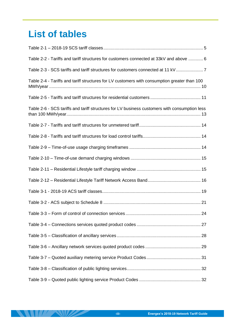# **List of tables**

 $\|H\| \leq 1$ 

المستنصر

| Table 2-2 - Tariffs and tariff structures for customers connected at 33kV and above  6        |
|-----------------------------------------------------------------------------------------------|
| Table 2-3 - SCS tariffs and tariff structures for customers connected at 11 kV7               |
| Table 2-4 - Tariffs and tariff structures for LV customers with consumption greater than 100  |
|                                                                                               |
| Table 2-6 - SCS tariffs and tariff structures for LV business customers with consumption less |
|                                                                                               |
|                                                                                               |
|                                                                                               |
|                                                                                               |
|                                                                                               |
|                                                                                               |
|                                                                                               |
|                                                                                               |
|                                                                                               |
|                                                                                               |
|                                                                                               |
|                                                                                               |
|                                                                                               |
|                                                                                               |
|                                                                                               |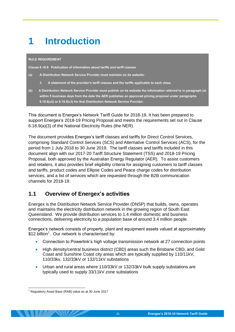# <span id="page-4-0"></span>**1 Introduction**

#### **RULE REQUIREMENT**

**Clause 6.18.9 Publication of information about tariffs and tariff classes** 

- **(a) A Distribution Network Service Provider must maintain on its website:**
	- **3. A statement of the provider's tariff classes and the tariffs applicable to each class.**
- **(b) A Distribution Network Service Provider must publish on its website the information referred to in paragraph (a) within 5 business days from the date the AER publishes an approved pricing proposal under paragraphs 6.18.8(c2) or 6.18.8(c3) for that Distribution Network Service Provider.**

This document is Energex's Network Tariff Guide for 2018-19. It has been prepared to support Energex's 2018-19 Pricing Proposal and meets the requirements set out in Clause 6.18.9(a)(3) of the National Electricity Rules (the NER).

The document provides Energex's tariff classes and tariffs for Direct Control Services, comprising Standard Control Services (SCS) and Alternative Control Services (ACS), for the period from 1 July 2018 to 30 June 2019. The tariff classes and tariffs included in this document align with our 2017-20 Tariff Structure Statement (TSS) and 2018-19 Pricing Proposal, both approved by the Australian Energy Regulator (AER). To assist customers and retailers, it also provides brief eligibility criteria for assigning customers to tariff classes and tariffs, product codes and Ellipse Codes and Peace charge codes for distribution services, and a list of services which are requested through the B2B communication channels for 2018-19.

# <span id="page-4-1"></span>**1.1 Overview of Energex's activities**

Energex is the Distribution Network Service Provider (DNSP) that builds, owns, operates and maintains the electricity distribution network in the growing region of South East Queensland. We provide distribution services to 1.4 million domestic and business connections, delivering electricity to a population base of around 3.4 million people.

Energex's network consists of property, plant and equipment assets valued at approximately \$12 billion<sup>1</sup>. Our network is characterised by:

- Connection to Powerlink's high voltage transmission network at 27 connection points
- High density/central business district (CBD) areas such the Brisbane CBD, and Gold Coast and Sunshine Coast city areas which are typically supplied by 110/11kV, 110/33kv, 132/33kV or 132/11kV substations
- Urban and rural areas where 110/33kV or 132/33kV bulk supply substations are typically used to supply 33/11kV zone substations

<sup>-</sup> $1$  Regulatory Asset Base (RAB) value as at 30 June 2017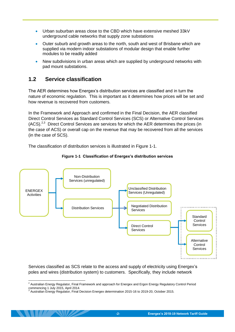- Urban suburban areas close to the CBD which have extensive meshed 33kV underground cable networks that supply zone substations
- Outer suburb and growth areas to the north, south and west of Brisbane which are supplied via modern indoor substations of modular design that enable further modules to be readily added
- New subdivisions in urban areas which are supplied by underground networks with pad mount substations.

# <span id="page-5-0"></span>**1.2 Service classification**

The AER determines how Energex's distribution services are classified and in turn the nature of economic regulation. This is important as it determines how prices will be set and how revenue is recovered from customers.

In the Framework and Approach and confirmed in the Final Decision, the AER classified Direct Control Services as Standard Control Services (SCS) or Alternative Control Services (ACS).<sup>2,3</sup> Direct Control Services are services for which the AER determines the prices (in the case of ACS) or overall cap on the revenue that may be recovered from all the services (in the case of SCS).

<span id="page-5-1"></span>The classification of distribution services is illustrated in [Figure 1-1.](#page-5-1)





Services classified as SCS relate to the access and supply of electricity using Energex's poles and wires (distribution system) to customers. Specifically, they include network

<sup>-</sup><sup>2</sup> Australian Energy Regulator, Final Framework and approach for Energex and Ergon Energy Regulatory Control Period commencing 1 July 2015, April 2014.<br><sup>3</sup> Australian Energy Regulator, Final Decision Energex determination 2015-16 to 2019-20, October 2015.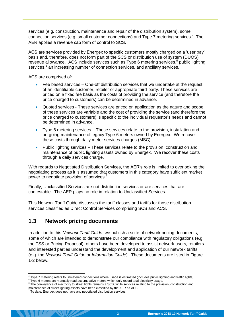services (e.g. construction, maintenance and repair of the distribution system), some connection services (e.g. small customer connections) and Type 7 metering services. $4$  The AER applies a revenue cap form of control to SCS.

ACS are services provided by Energex to specific customers mostly charged on a 'user pay' basis and, therefore, does not form part of the SCS or distribution use of system (DUOS) revenue allowance. ACS include services such as Type 6 metering services,<sup>5</sup> public lighting services,<sup>6</sup> an increasing number of connection services, and ancillary services.

ACS are comprised of:

- Fee based services One-off distribution services that we undertake at the request of an identifiable customer, retailer or appropriate third-party. These services are priced on a fixed fee basis as the costs of providing the service (and therefore the price charged to customers) can be determined in advance.
- Quoted services These services are priced on application as the nature and scope of these services are variable and the cost of providing the service (and therefore the price charged to customers) is specific to the individual requestor's needs and cannot be determined in advance.
- Type 6 metering services These services relate to the provision, installation and on-going maintenance of legacy Type 6 meters owned by Energex. We recover these costs through daily meter services charges (MSC).
- Public lighting services These services relate to the provision, construction and maintenance of public lighting assets owned by Energex. We recover these costs through a daily services charge.

With regards to Negotiated Distribution Services, the AER's role is limited to overlooking the negotiating process as it is assumed that customers in this category have sufficient market power to negotiate provision of services.<sup>7</sup>

Finally, Unclassified Services are not distribution services or are services that are contestable. The AER plays no role in relation to Unclassified Services.

This Network Tariff Guide discusses the tariff classes and tariffs for those distribution services classified as Direct Control Services comprising SCS and ACS.

# <span id="page-6-0"></span>**1.3 Network pricing documents**

In addition to this *Network Tariff Guide*, we publish a suite of network pricing documents, some of which are intended to demonstrate our compliance with regulatory obligations (e.g. the TSS or Pricing Proposal), others have been developed to assist network users, retailers and interested parties understand the development and application of our network tariffs (e.g. the *Network Tariff Guide* or *Information Guide*). These documents are listed in [Figure](#page-7-0)  [1-2](#page-7-0) below.

-

<sup>4</sup> Type 7 metering refers to unmetered connections where usage is estimated (includes public lighting and traffic lights).

<sup>&</sup>lt;sup>5</sup> Type 6 meters are manually read accumulative meters which only record total electricity usage.

<sup>&</sup>lt;sup>6</sup> The conveyance of electricity to street lights remains a SCS, while services relating to the prevision, construction and maintenance of street lighting assets have been classified by the AER as ACS.<br><sup>7</sup> To date, Energex does not have any negotiated distribution services.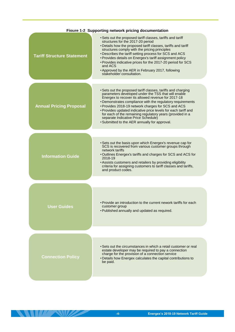<span id="page-7-0"></span>

| <b>Floure 1-2 Supporting network pricing accumentation</b> |                                                                                                                                                                                                                                                                                                                                                                                                                                                                                                                      |  |  |  |
|------------------------------------------------------------|----------------------------------------------------------------------------------------------------------------------------------------------------------------------------------------------------------------------------------------------------------------------------------------------------------------------------------------------------------------------------------------------------------------------------------------------------------------------------------------------------------------------|--|--|--|
| <b>Tariff Structure Statement</b>                          | • Sets out the proposed tariff classes, tariffs and tariff<br>structures for the 2017-20 period<br>• Details how the proposed tariff classes, tariffs and tariff<br>structures comply with the pricing principles<br>• Describes the tariff setting process for SCS and ACS<br>• Provides details on Energex's tariff assignment policy<br>• Provides indicative prices for the 2017-20 period for SCS<br>and ACS<br>• Approved by the AER in February 2017, following<br>stakeholder consultation.                  |  |  |  |
| <b>Annual Pricing Proposal</b>                             | • Sets out the proposed tariff classes, tariffs and charging<br>parameters developed under the TSS that will enable<br>Energex to recover its allowed revenue for 2017-18<br>• Demonstrates compliance with the regulatory requirements<br>• Provides 2018-19 network charges for SCS and ACS<br>• Provides updated indicative price levels for each tariff and<br>for each of the remaining regulatory years (provided in a<br>separate Indicative Price Schedule)<br>• Submitted to the AER annually for approval. |  |  |  |
| <b>Information Guide</b>                                   | • Sets out the basis upon which Energex's revenue cap for<br>SCS is recovered from various customer groups through<br>network tariffs<br>• Outlines Energex's tariffs and charges for SCS and ACS for<br>2018-19<br>• Assists customers and retailers by providing eligibility<br>criteria for assigning customers to tariff classes and tariffs,<br>and product codes.                                                                                                                                              |  |  |  |
|                                                            |                                                                                                                                                                                                                                                                                                                                                                                                                                                                                                                      |  |  |  |
| User Guides                                                | • Provide an introduction to the current nework tariffs for each<br>customer group<br>• Published annually and updated as required.                                                                                                                                                                                                                                                                                                                                                                                  |  |  |  |
|                                                            |                                                                                                                                                                                                                                                                                                                                                                                                                                                                                                                      |  |  |  |
| <b>Connection Policy</b>                                   | • Sets out the circumstances in which a retail customer or real<br>estate developer may be required to pay a connection<br>charge for the provision of a connection service<br>• Details how Energex calculates the capital contributions to<br>be paid.                                                                                                                                                                                                                                                             |  |  |  |
|                                                            |                                                                                                                                                                                                                                                                                                                                                                                                                                                                                                                      |  |  |  |

**THE REAL PROPERTY**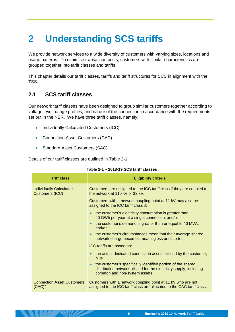# <span id="page-8-0"></span>**2 Understanding SCS tariffs**

We provide network services to a wide diversity of customers with varying sizes, locations and usage patterns. To minimise transaction costs, customers with similar characteristics are grouped together into tariff classes and tariffs.

This chapter details our tariff classes, tariffs and tariff structures for SCS in alignment with the TSS.

# <span id="page-8-1"></span>**2.1 SCS tariff classes**

 $17^\circ$   $\sim$  MD

Our network tariff classes have been designed to group similar customers together according to voltage level, usage profiles, and nature of the connection in accordance with the requirements set out in the NER. We have three tariff classes, namely:

- Individually Calculated Customers (ICC)
- Connection Asset Customers (CAC)
- Standard Asset Customers (SAC).

<span id="page-8-2"></span>Details of our tariff classes are outlined in [Table 2-1.](#page-8-2)

| <b>Tariff class</b>                               | <b>Eligibility criteria</b>                                                                                                                                                       |
|---------------------------------------------------|-----------------------------------------------------------------------------------------------------------------------------------------------------------------------------------|
| <b>Individually Calculated</b><br>Customers (ICC) | Customers are assigned to the ICC tariff class if they are coupled to<br>the network at 110 kV or 33 kV.                                                                          |
|                                                   | Customers with a network coupling point at 11 kV may also be<br>assigned to the ICC tariff class if:                                                                              |
|                                                   | the customer's electricity consumption is greater than<br>$\bullet$<br>40 GWh per year at a single connection; and/or                                                             |
|                                                   | the customer's demand is greater than or equal to 10 MVA;<br>$\bullet$<br>and/or                                                                                                  |
|                                                   | the customer's circumstances mean that their average shared<br>$\bullet$<br>network charge becomes meaningless or distorted.                                                      |
|                                                   | ICC tariffs are based on:                                                                                                                                                         |
|                                                   | the actual dedicated connection assets utilised by the customer;<br>$\bullet$<br>plus                                                                                             |
|                                                   | the customer's specifically identified portion of the shared<br>$\bullet$<br>distribution network utilised for the electricity supply, including<br>common and non-system assets. |
| <b>Connection Asset Customers</b><br>$(CAC)^a$    | Customers with a network coupling point at 11 kV who are not<br>assigned to the ICC tariff class are allocated to the CAC tariff class.                                           |

#### **Table 2-1 – 2018-19 SCS tariff classes**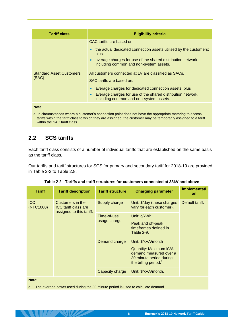| <b>Tariff class</b>                      | <b>Eligibility criteria</b>                                                                                                                                                                                                                           |  |  |  |
|------------------------------------------|-------------------------------------------------------------------------------------------------------------------------------------------------------------------------------------------------------------------------------------------------------|--|--|--|
|                                          | CAC tariffs are based on:<br>the actual dedicated connection assets utilised by the customers;<br>$\bullet$<br>plus<br>average charges for use of the shared distribution network<br>$\bullet$<br>including common and non-system assets.             |  |  |  |
| <b>Standard Asset Customers</b><br>(SAC) | All customers connected at LV are classified as SACs.<br>SAC tariffs are based on:<br>average charges for dedicated connection assets; plus<br>average charges for use of the shared distribution network,<br>including common and non-system assets. |  |  |  |

**Note:** 

a. In circumstances where a customer's connection point does not have the appropriate metering to access tariffs within the tariff class to which they are assigned, the customer may be temporarily assigned to a tariff within the SAC tariff class.

# <span id="page-9-0"></span>**2.2 SCS tariffs**

Each tariff class consists of a number of individual tariffs that are established on the same basis as the tariff class.

Our tariffs and tariff structures for SCS for primary and secondary tariff for 2018-19 are provided in [Table 2-2](#page-9-1) to Table 2.8.

<span id="page-9-1"></span>

| <b>Tariff</b>           | <b>Tariff description</b>                                            | <b>Tariff structure</b>     | <b>Charging parameter</b>                                                                                                            | Implementati<br>on |
|-------------------------|----------------------------------------------------------------------|-----------------------------|--------------------------------------------------------------------------------------------------------------------------------------|--------------------|
| <b>ICC</b><br>(NTC1000) | Customers in the<br>ICC tariff class are<br>assigned to this tariff. | Supply charge               | Unit: \$/day (these charges<br>vary for each customer).                                                                              | Default tariff.    |
|                         |                                                                      | Time-of-use<br>usage charge | Unit: c/kWh<br>Peak and off-peak<br>timeframes defined in<br>Table 2-9.                                                              |                    |
|                         |                                                                      | Demand charge               | Unit: \$/kVA/month<br>Quantity: Maximum kVA<br>demand measured over a<br>30 minute period during<br>the billing period. <sup>a</sup> |                    |
|                         |                                                                      | Capacity charge             | Unit: \$/kVA/month.                                                                                                                  |                    |

| Table 2-2 - Tariffs and tariff structures for customers connected at 33kV and above |  |  |  |
|-------------------------------------------------------------------------------------|--|--|--|
|                                                                                     |  |  |  |

**Note:** 

 $1/\sqrt{N}$ 

a. The average power used during the 30 minute period is used to calculate demand.

<u>an din</u>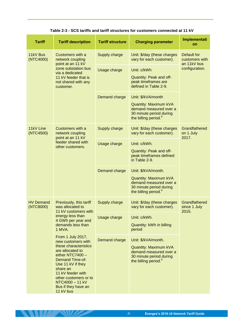| Table 2-3 - SCS tariffs and tariff structures for customers connected at 11 kV |  |
|--------------------------------------------------------------------------------|--|
|--------------------------------------------------------------------------------|--|

<span id="page-10-0"></span>

| <b>Tariff</b>                 | <b>Tariff description</b>                                                                                                                                                                                                                                                | <b>Tariff structure</b> | <b>Charging parameter</b>                                                                                                                    | Implementati<br>on                           |
|-------------------------------|--------------------------------------------------------------------------------------------------------------------------------------------------------------------------------------------------------------------------------------------------------------------------|-------------------------|----------------------------------------------------------------------------------------------------------------------------------------------|----------------------------------------------|
| 11kV Bus<br>(NTC4000)         | Customers with a<br>network coupling<br>point at an 11 kV<br>zone substation bus<br>via a dedicated<br>11 kV feeder that is<br>not shared with any<br>customer.                                                                                                          | Supply charge           | Unit: \$/day (these charges<br>vary for each customer).                                                                                      | Default for<br>customers with<br>an 11kV bus |
|                               |                                                                                                                                                                                                                                                                          | Usage charge            | Unit: c/kWh<br>Quantity: Peak and off-<br>peak timeframes are<br>defined in Table 2-9.                                                       | configuration.                               |
|                               |                                                                                                                                                                                                                                                                          | Demand charge           | Unit: \$/kVA/month<br><b>Quantity: Maximum kVA</b><br>demand measured over a<br>30 minute period during<br>the billing period. <sup>b</sup>  |                                              |
| 11kV Line<br>(NTC4500)        | Customers with a<br>network coupling<br>point at an 11 kV                                                                                                                                                                                                                | Supply charge           | Unit: \$/day (these charges<br>vary for each customer).                                                                                      | Grandfathered<br>on 1 July<br>2017.          |
|                               | feeder shared with<br>other customers.                                                                                                                                                                                                                                   | Usage charge            | Unit: c/kWh.<br>Quantity: Peak and off-<br>peak timeframes defined<br>in Table 2-9.                                                          |                                              |
|                               |                                                                                                                                                                                                                                                                          | Demand charge           | Unit: \$/kVA/month.<br><b>Quantity: Maximum kVA</b><br>demand measured over a<br>30 minute period during<br>the billing period. <sup>b</sup> |                                              |
| <b>HV Demand</b><br>(NTC8000) | Previously, this tariff<br>was allocated to<br>11 kV customers with<br>energy less than<br>4 GWh per year and<br>demands less than<br>1 MVA.                                                                                                                             | Supply charge           | Unit: \$/day (these charges<br>vary for each customer).                                                                                      | Grandfathered<br>since 1 July<br>2015.       |
|                               |                                                                                                                                                                                                                                                                          | Usage charge            | Unit: c/kWh.<br>Quantity: kWh in billing<br>period                                                                                           |                                              |
|                               | From 1 July 2017,<br>new customers with<br>these characteristics<br>are allocated to<br>either NTC7400 -<br><b>Demand Time-of-</b><br>Use 11 kV if they<br>share an<br>11 kV feeder with<br>other customers or to<br>NTC4000 - 11 kV<br>Bus if they have an<br>11 kV bus | Demand charge           | Unit: \$/kVA/month.<br><b>Quantity: Maximum kVA</b><br>demand measured over a<br>30 minute period during<br>the billing period. <sup>b</sup> |                                              |

**ANTIFANDE**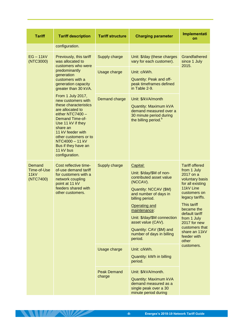| <b>Tariff</b>                              | <b>Tariff description</b>                                                                                                                                                                                                                                                                                                                                                                                                                                         | <b>Tariff structure</b>      | <b>Charging parameter</b>                                                                                                                                                                                                                                                                                        | Implementati<br>on                                                                                                                                                                                                                                                                |
|--------------------------------------------|-------------------------------------------------------------------------------------------------------------------------------------------------------------------------------------------------------------------------------------------------------------------------------------------------------------------------------------------------------------------------------------------------------------------------------------------------------------------|------------------------------|------------------------------------------------------------------------------------------------------------------------------------------------------------------------------------------------------------------------------------------------------------------------------------------------------------------|-----------------------------------------------------------------------------------------------------------------------------------------------------------------------------------------------------------------------------------------------------------------------------------|
|                                            | configuration.                                                                                                                                                                                                                                                                                                                                                                                                                                                    |                              |                                                                                                                                                                                                                                                                                                                  |                                                                                                                                                                                                                                                                                   |
| $EG - 11kV$<br>(NTC3000)                   | Previously, this tariff<br>was allocated to<br>customers who were<br>predominantly<br>generation<br>customers with a<br>generation capacity<br>greater than 30 kVA.<br>From 1 July 2017,<br>new customers with<br>these characteristics<br>are allocated to<br>either NTC7400 -<br><b>Demand Time-of-</b><br>Use 11 kV if they<br>share an<br>11 kV feeder with<br>other customers or to<br>NTC4000 - 11 kV<br>Bus if they have an<br>11 kV bus<br>configuration. | Supply charge                | Unit: \$/day (these charges<br>vary for each customer).                                                                                                                                                                                                                                                          | Grandfathered<br>since 1 July<br>2015.                                                                                                                                                                                                                                            |
|                                            |                                                                                                                                                                                                                                                                                                                                                                                                                                                                   | Usage charge                 | Unit: c/kWh.<br>Quantity: Peak and off-<br>peak timeframes defined<br>in Table 2-9.                                                                                                                                                                                                                              |                                                                                                                                                                                                                                                                                   |
|                                            |                                                                                                                                                                                                                                                                                                                                                                                                                                                                   | Demand charge                | Unit: \$/kVA/month<br><b>Quantity: Maximum kVA</b><br>demand measured over a<br>30 minute period during<br>the billing period. <sup>b</sup>                                                                                                                                                                      |                                                                                                                                                                                                                                                                                   |
| Demand<br>Time-of-Use<br>11kV<br>(NTC7400) | Cost reflective time-<br>of-use demand tariff<br>for customers with a<br>network coupling<br>point at 11 kV<br>feeders shared with<br>other customers.                                                                                                                                                                                                                                                                                                            | Supply charge                | Capital:<br>Unit: \$/day/\$M of non-<br>contributed asset value<br>(NCCAV).<br>Quantity: NCCAV (\$M)<br>and number of days in<br>billing period.<br><b>Operating and</b><br>maintenance:<br>Unit: \$/day/\$M connection<br>asset value (CAV).<br>Quantity: CAV (\$M) and<br>number of days in billing<br>period. | <b>Tariff offered</b><br>from 1 July<br>2017 on a<br>voluntary basis<br>for all existing<br>11kV Line<br>customers on<br>legacy tariffs.<br>This tariff<br>became the<br>default tariff<br>from 1 July<br>2017 for new<br>customers that<br>share an 11kV<br>feeder with<br>other |
|                                            |                                                                                                                                                                                                                                                                                                                                                                                                                                                                   | Usage charge                 | Unit: c/kWh.<br>Quantity: kWh in billing<br>period.                                                                                                                                                                                                                                                              | customers.                                                                                                                                                                                                                                                                        |
|                                            |                                                                                                                                                                                                                                                                                                                                                                                                                                                                   | <b>Peak Demand</b><br>charge | Unit: \$/kVA/month.<br><b>Quantity: Maximum kVA</b><br>demand measured as a<br>single peak over a 30<br>minute period during                                                                                                                                                                                     |                                                                                                                                                                                                                                                                                   |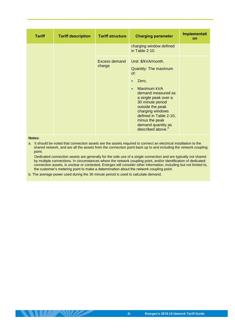| <b>Tariff</b> | <b>Tariff description</b> | <b>Tariff structure</b> | <b>Charging parameter</b>                                                                                                                                                                                                                                                                | Implementati<br>on |
|---------------|---------------------------|-------------------------|------------------------------------------------------------------------------------------------------------------------------------------------------------------------------------------------------------------------------------------------------------------------------------------|--------------------|
|               |                           |                         | charging window defined<br>in Table 2-10.                                                                                                                                                                                                                                                |                    |
|               |                           | Excess demand<br>charge | Unit: \$/kVA/month.<br>Quantity: The maximum<br>of:<br>Zero,<br>Maximum kVA<br>demand measured as<br>a single peak over a<br>30 minute period<br>outside the peak<br>charging windows<br>defined in Table 2-10,<br>minus the peak<br>demand quantity as<br>described above. <sup>b</sup> |                    |

#### **Notes:**

**THE REAL PROPERTY** 

a. It should be noted that connection assets are the assets required to connect an electrical installation to the shared network, and are all the assets from the connection point back up to and including the network coupling point.

 Dedicated connection assets are generally for the sole use of a single connection and are typically not shared by multiple connections. In circumstances where the network coupling point, and/or identification of dedicated connection assets, is unclear or contested, Energex will consider other information, including but not limited to, the customer's metering point to make a determination about the network coupling point.

b. The average power used during the 30 minute period is used to calculate demand.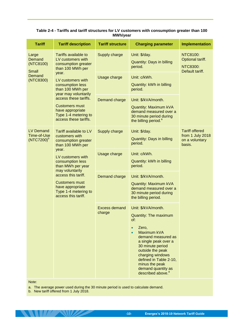<span id="page-13-0"></span>

| <b>Tariff</b>                                                                                                                                                                                                                                                                                                                                        | <b>Tariff description</b>                                                                                                                   | <b>Tariff structure</b>                                                                                                                                                                                                                                                                                            | <b>Charging parameter</b>                                                                                                             | <b>Implementation</b>                                                 |
|------------------------------------------------------------------------------------------------------------------------------------------------------------------------------------------------------------------------------------------------------------------------------------------------------------------------------------------------------|---------------------------------------------------------------------------------------------------------------------------------------------|--------------------------------------------------------------------------------------------------------------------------------------------------------------------------------------------------------------------------------------------------------------------------------------------------------------------|---------------------------------------------------------------------------------------------------------------------------------------|-----------------------------------------------------------------------|
| Large<br>Demand<br>(NTC8100)                                                                                                                                                                                                                                                                                                                         | Tariffs available to<br>LV customers with<br>consumption greater<br>than 100 MWh per                                                        | Supply charge                                                                                                                                                                                                                                                                                                      | Unit: \$/day.<br><b>Quantity: Days in billing</b><br>period.                                                                          | NTC8100:<br>Optional tariff.<br><b>NTC8300:</b><br>Default tariff.    |
| <b>Small</b><br>Demand<br>(NTC8300)                                                                                                                                                                                                                                                                                                                  | year.<br>LV customers with<br>consumption less<br>than 100 MWh per                                                                          | Usage charge                                                                                                                                                                                                                                                                                                       | Unit: c/kWh.<br>Quantity: kWh in billing<br>period.                                                                                   |                                                                       |
|                                                                                                                                                                                                                                                                                                                                                      | year may voluntarily<br>access these tariffs.<br><b>Customers must</b><br>have appropriate<br>Type 1-4 metering to<br>access these tariffs. | Demand charge                                                                                                                                                                                                                                                                                                      | Unit: \$/kVA/month.<br>Quantity: Maximum kVA<br>demand measured over a<br>30 minute period during<br>the billing period. <sup>a</sup> |                                                                       |
| <b>LV Demand</b><br>Tariff available to LV<br>Time-of-Use<br>customers with<br>$(NTC7200)^b$<br>consumption greater<br>than 100 MWh per<br>year.<br>LV customers with<br>consumption less<br>than MWh per year<br>may voluntarily<br>access this tariff.<br><b>Customers must</b><br>have appropriate<br>Type 1-4 metering to<br>access this tariff. |                                                                                                                                             | Supply charge                                                                                                                                                                                                                                                                                                      | Unit: \$/day.<br><b>Quantity: Days in billing</b><br>period.                                                                          | <b>Tariff offered</b><br>from 1 July 2018<br>on a voluntary<br>basis. |
|                                                                                                                                                                                                                                                                                                                                                      |                                                                                                                                             | Usage charge                                                                                                                                                                                                                                                                                                       | Unit: c/kWh.<br>Quantity: kWh in billing<br>period.                                                                                   |                                                                       |
|                                                                                                                                                                                                                                                                                                                                                      | Demand charge                                                                                                                               | Unit: \$/kVA/month.<br><b>Quantity: Maximum kVA</b><br>demand measured over a<br>30 minute period during<br>the billing period.                                                                                                                                                                                    |                                                                                                                                       |                                                                       |
|                                                                                                                                                                                                                                                                                                                                                      | <b>Excess demand</b><br>charge                                                                                                              | Unit: \$/kVA/month.<br>Quantity: The maximum<br>of:<br>Zero,<br>$\bullet$<br>Maximum kVA<br>$\bullet$<br>demand measured as<br>a single peak over a<br>30 minute period<br>outside the peak<br>charging windows<br>defined in Table 2-10,<br>minus the peak<br>demand quantity as<br>described above. <sup>a</sup> |                                                                                                                                       |                                                                       |

### **Table 2-4 - Tariffs and tariff structures for LV customers with consumption greater than 100 MWh/year**

Note:

a. The average power used during the 30 minute period is used to calculate demand.

b. New tariff offered from 1 July 2018.

**THE REAL PROPERTY**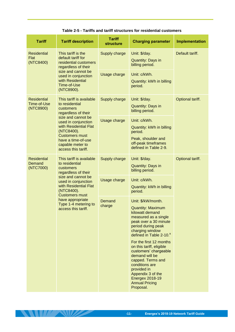|  |  | Table 2-5 - Tariffs and tariff structures for residential customers |  |  |
|--|--|---------------------------------------------------------------------|--|--|
|--|--|---------------------------------------------------------------------|--|--|

<span id="page-14-0"></span>

| <b>Tariff</b>                                                                                                                                                                                                                                                                                               | <b>Tariff description</b>                                                      | <b>Tariff</b><br><b>structure</b>                                                                                                                                                                  | <b>Charging parameter</b>                                                                                                                                                                                                                 | <b>Implementation</b> |
|-------------------------------------------------------------------------------------------------------------------------------------------------------------------------------------------------------------------------------------------------------------------------------------------------------------|--------------------------------------------------------------------------------|----------------------------------------------------------------------------------------------------------------------------------------------------------------------------------------------------|-------------------------------------------------------------------------------------------------------------------------------------------------------------------------------------------------------------------------------------------|-----------------------|
| This tariff is the<br><b>Residential</b><br>Flat<br>default tariff for<br>(NTC8400)<br>regardless of their<br>size and cannot be<br>with Residential<br>Time-of-Use<br>(NTC8900).                                                                                                                           | residential customers                                                          | Supply charge                                                                                                                                                                                      | Unit: \$/day.<br><b>Quantity: Days in</b><br>billing period.                                                                                                                                                                              | Default tariff.       |
|                                                                                                                                                                                                                                                                                                             | used in conjunction                                                            | Usage charge                                                                                                                                                                                       | Unit: c/kWh.<br>Quantity: kWh in billing<br>period.                                                                                                                                                                                       |                       |
| <b>Residential</b><br>Time-of-Use<br>(NTC8900)                                                                                                                                                                                                                                                              | This tariff is available<br>to residential<br>customers<br>regardless of their | Supply charge                                                                                                                                                                                      | Unit: \$/day.<br><b>Quantity: Days in</b><br>billing period.                                                                                                                                                                              | Optional tariff.      |
| size and cannot be<br>used in conjunction<br>with Residential Flat<br>(NTC8400).<br><b>Customers must</b><br>have a time-of-use<br>capable meter to<br>access this tariff.                                                                                                                                  |                                                                                | Usage charge                                                                                                                                                                                       | Unit: c/kWh.<br>Quantity: kWh in billing<br>period.<br>Peak, shoulder and                                                                                                                                                                 |                       |
|                                                                                                                                                                                                                                                                                                             |                                                                                | off-peak timeframes<br>defined in Table 2-9.                                                                                                                                                       |                                                                                                                                                                                                                                           |                       |
| <b>Residential</b><br>This tariff is available<br>Demand<br>to residential<br>(NTC7000)<br>customers<br>regardless of their<br>size and cannot be<br>used in conjunction<br>with Residential Flat<br>(NTC8400).<br><b>Customers must</b><br>have appropriate<br>Type 1-4 metering to<br>access this tariff. |                                                                                | Supply charge                                                                                                                                                                                      | Unit: \$/day.<br>Quantity: Days in<br>billing period.                                                                                                                                                                                     | Optional tariff.      |
|                                                                                                                                                                                                                                                                                                             |                                                                                | Usage charge                                                                                                                                                                                       | Unit: c/kWh.<br>Quantity: kWh in billing<br>period.                                                                                                                                                                                       |                       |
|                                                                                                                                                                                                                                                                                                             | Demand<br>charge                                                               | Unit: \$/kW/month.<br><b>Quantity: Maximum</b><br>kilowatt demand<br>measured as a single<br>peak over a 30 minute<br>period during peak<br>charging window<br>defined in Table 2-10. <sup>a</sup> |                                                                                                                                                                                                                                           |                       |
|                                                                                                                                                                                                                                                                                                             |                                                                                |                                                                                                                                                                                                    | For the first 12 months<br>on this tariff, eligible<br>customers' chargeable<br>demand will be<br>capped. Terms and<br>conditions are<br>provided in<br>Appendix 3 of the<br><b>Energex 2018-19</b><br><b>Annual Pricing</b><br>Proposal. |                       |

**ANTIFANDE**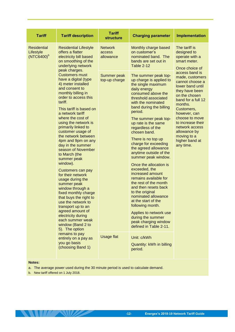| <b>Tariff</b>                                                                                 | <b>Tariff description</b>                                                                                                                                                                                                                                                                                                                                                                                                                                                                                                                                                                                                                                                                                                     | <b>Tariff</b><br><b>structure</b>                  | <b>Charging parameter</b>                                                                                                                                                                                                                                                                                                                                                                                                                                                                                                                                                                                                                                                                                                                 | <b>Implementation</b>                                                                                                                                                                                                                                                                             |
|-----------------------------------------------------------------------------------------------|-------------------------------------------------------------------------------------------------------------------------------------------------------------------------------------------------------------------------------------------------------------------------------------------------------------------------------------------------------------------------------------------------------------------------------------------------------------------------------------------------------------------------------------------------------------------------------------------------------------------------------------------------------------------------------------------------------------------------------|----------------------------------------------------|-------------------------------------------------------------------------------------------------------------------------------------------------------------------------------------------------------------------------------------------------------------------------------------------------------------------------------------------------------------------------------------------------------------------------------------------------------------------------------------------------------------------------------------------------------------------------------------------------------------------------------------------------------------------------------------------------------------------------------------------|---------------------------------------------------------------------------------------------------------------------------------------------------------------------------------------------------------------------------------------------------------------------------------------------------|
| <b>Residential</b><br>Lifestyle<br>$(NTC6400)^b$                                              | <b>Residential Lifestyle</b><br>offers a flatter<br>electricity bill based<br>on smoothing of the<br>underlying network                                                                                                                                                                                                                                                                                                                                                                                                                                                                                                                                                                                                       | <b>Network</b><br>access<br>allowance              | Monthly charge based<br>on customer's<br>nominated band. The<br>bands are set out in<br><b>Table 2-12</b>                                                                                                                                                                                                                                                                                                                                                                                                                                                                                                                                                                                                                                 | The tariff is<br>designed to<br>operate with a<br>smart meter.<br>Once choice of                                                                                                                                                                                                                  |
|                                                                                               | peak charges.<br><b>Customers must</b><br>have a digital (type<br>4) meter installed<br>and consent to<br>monthly billing in<br>order to access this<br>tariff.<br>This tariff is based on<br>a network tariff<br>where the cost of<br>using the network is<br>primarily linked to<br>customer usage of<br>the network between<br>4pm and 9pm on any<br>day in the summer<br>season of November<br>to March (the<br>summer peak<br>window).<br>Customers can pay<br>for their network<br>usage during the<br>summer peak<br>window through a<br>fixed monthly charge<br>that buys the right to<br>use the network to<br>transport up to an<br>agreed amount of<br>electricity during<br>each summer weak<br>window (Band 2 to | Summer peak<br>top-up charge                       | The summer peak top-<br>up charge is applied to<br>the single maximum<br>daily energy<br>consumed above the<br>threshold associated<br>with the nominated<br>band during the billing<br>period.<br>The summer peak top-<br>up rate is the same<br>regardless of the<br>chosen band.<br>There is no top up<br>charge for exceeding<br>the agreed allowance<br>anytime outside of the<br>summer peak window.<br>Once the allocation is<br>exceeded, the<br>increased amount<br>remains available for<br>the rest of the month<br>and then resets back<br>to the original<br>nominated allowance<br>at the start of the<br>following month.<br>Applies to network use<br>during the summer<br>peak charging window<br>defined in Table 2-11. | access band is<br>made, customers<br>cannot choose a<br>lower band until<br>they have been<br>on the chosen<br>band for a full 12<br>months.<br>Customers,<br>however, can<br>choose to move<br>to increase their<br>network access<br>allowance by<br>moving to a<br>higher band at<br>any time. |
| 5). The option<br>remains to pay<br>entirely on a pay as<br>you go basis<br>(choosing Band 1) | <b>Usage flat</b>                                                                                                                                                                                                                                                                                                                                                                                                                                                                                                                                                                                                                                                                                                             | Unit: c/kWh<br>Quantity: kWh in billing<br>period. |                                                                                                                                                                                                                                                                                                                                                                                                                                                                                                                                                                                                                                                                                                                                           |                                                                                                                                                                                                                                                                                                   |

#### **Notes:**

a. The average power used during the 30 minute period is used to calculate demand.

<span id="page-15-0"></span>b. New tariff offered on 1 July 2018.

**ANTILLE AND CONTACT**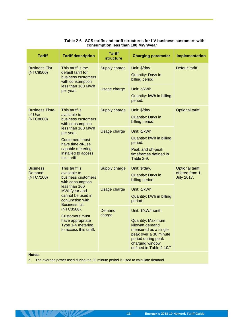| <b>Tariff</b>                                | <b>Tariff description</b>                                                                                                                                                                                                                                                                                | <b>Tariff</b><br><b>structure</b> | <b>Charging parameter</b>                                                                                                                                                                          | <b>Implementation</b>                                         |
|----------------------------------------------|----------------------------------------------------------------------------------------------------------------------------------------------------------------------------------------------------------------------------------------------------------------------------------------------------------|-----------------------------------|----------------------------------------------------------------------------------------------------------------------------------------------------------------------------------------------------|---------------------------------------------------------------|
| <b>Business Flat</b><br>(NTC8500)            | This tariff is the<br>default tariff for<br>business customers<br>with consumption                                                                                                                                                                                                                       | Supply charge                     | Unit: \$/day.<br><b>Quantity: Days in</b><br>billing period.                                                                                                                                       | Default tariff.                                               |
|                                              | less than 100 MWh<br>per year.                                                                                                                                                                                                                                                                           | Usage charge                      | Unit: c/kWh.<br>Quantity: kWh in billing<br>period.                                                                                                                                                |                                                               |
| <b>Business Time-</b><br>of-Use<br>(NTC8800) | This tariff is<br>available to<br>business customers<br>with consumption                                                                                                                                                                                                                                 | Supply charge                     | Unit: \$/day.<br><b>Quantity: Days in</b><br>billing period.                                                                                                                                       | Optional tariff.                                              |
|                                              | less than 100 MWh<br>per year.<br><b>Customers must</b><br>have time-of-use<br>capable metering<br>installed to access<br>this tariff.                                                                                                                                                                   | Usage charge                      | Unit: c/kWh.<br>Quantity: kWh in billing<br>period.<br>Peak and off-peak<br>timeframes defined in<br>Table 2-9.                                                                                    |                                                               |
| <b>Business</b><br>Demand<br>(NTC7100)       | This tariff is<br>available to<br>business customers<br>with consumption<br>less than 100<br>MWh/year and<br>cannot be used in<br>conjunction with<br><b>Business flat</b><br>(NTC8500).<br>Demand<br>charge<br><b>Customers must</b><br>have appropriate<br>Type 1-4 metering<br>to access this tariff. | Supply charge                     | Unit: \$/day.<br><b>Quantity: Days in</b><br>billing period.                                                                                                                                       | <b>Optional tariff</b><br>offered from 1<br><b>July 2017.</b> |
|                                              |                                                                                                                                                                                                                                                                                                          | Usage charge                      | Unit: c/kWh.<br>Quantity: kWh in billing<br>period.                                                                                                                                                |                                                               |
|                                              |                                                                                                                                                                                                                                                                                                          |                                   | Unit: \$/kW/month.<br><b>Quantity: Maximum</b><br>kilowatt demand<br>measured as a single<br>peak over a 30 minute<br>period during peak<br>charging window<br>defined in Table 2-10. <sup>a</sup> |                                                               |
| <b>Notes:</b>                                |                                                                                                                                                                                                                                                                                                          |                                   |                                                                                                                                                                                                    |                                                               |

### **Table 2-6 - SCS tariffs and tariff structures for LV business customers with consumption less than 100 MWh/year**

a. The average power used during the 30 minute period is used to calculate demand.

**ANTIFANIZADE**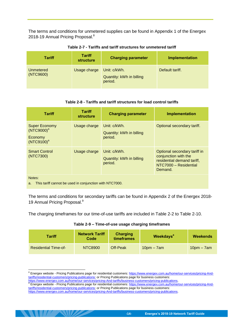The terms and conditions for unmetered supplies can be found in Appendix 1 of the Energex 2018-19 Annual Pricing Proposal.<sup>8</sup>

<span id="page-17-0"></span>

| Tariff                 | <b>Tariff</b><br>structure | <b>Charging parameter</b>                           | <b>Implementation</b> |
|------------------------|----------------------------|-----------------------------------------------------|-----------------------|
| Unmetered<br>(NTC9600) | Usage charge               | Unit: c/kWh.<br>Quantity: kWh in billing<br>period. | Default tariff.       |

#### **Table 2-7 - Tariffs and tariff structures for unmetered tariff**

#### **Table 2-8 - Tariffs and tariff structures for load control tariffs**

<span id="page-17-1"></span>

| <b>Tariff</b>                                                              | <b>Tariff</b><br>structure | <b>Charging parameter</b>                           | <b>Implementation</b>                                                                                                  |  |  |
|----------------------------------------------------------------------------|----------------------------|-----------------------------------------------------|------------------------------------------------------------------------------------------------------------------------|--|--|
| <b>Super Economy</b><br>(NTC9000) <sup>a</sup><br>Economy<br>$(NTC9100)^a$ | Usage charge               | Unit: c/kWh.<br>Quantity: kWh in billing<br>period. | Optional secondary tariff.                                                                                             |  |  |
| <b>Smart Control</b><br>(NTC7300)                                          | Usage charge               | Unit: c/kWh.<br>Quantity: kWh in billing<br>period. | Optional secondary tariff in<br>conjunction with the<br>residential demand tariff,<br>NTC7000 - Residential<br>Demand. |  |  |
| Notes:<br>This tariff cannot be used in conjunction with NTC7000.<br>a.    |                            |                                                     |                                                                                                                        |  |  |

The terms and conditions for secondary tariffs can be found in Appendix 2 of the Energex 2018- 19 Annual Pricing Proposal.<sup>9</sup>

<span id="page-17-2"></span>The charging timeframes for our time-of-use tariffs are included in [Table 2-2](#page-9-1) to [Table 2-10.](#page-18-0)

| Table 2-9 - Time-of-use usage charging timeframes |  |  |
|---------------------------------------------------|--|--|
|                                                   |  |  |

| Tariff                      | <b>Network Tariff</b><br>Code | Charging<br><b>timeframes</b> | <b>Weekdays<sup>a</sup></b> | Weekends     |
|-----------------------------|-------------------------------|-------------------------------|-----------------------------|--------------|
| <b>Residential Time-of-</b> | NTC8900                       | Off-Peak                      | $10pm - 7am$                | $10pm - 7am$ |

-

[https://www.energex.com.au/home/our-services/pricing-And-tariffs/business-customers/pricing-publications.](https://www.energex.com.au/home/our-services/pricing-And-tariffs/business-customers/pricing-publications)

<sup>&</sup>lt;sup>8</sup> Energex website - Pricing Publications page for residential customers: [https://www.energex.com.au/home/our-services/pricing-And](https://www.energex.com.au/home/our-services/pricing-And-tariffs/residential-customers/pricing-publications)[tariffs/residential-customers/pricing-publications;](https://www.energex.com.au/home/our-services/pricing-And-tariffs/residential-customers/pricing-publications) or Pricing Publications page for business customers:

[https://www.energex.com.au/home/our-services/pricing-And-tariffs/business-customers/pricing-publications.](https://www.energex.com.au/home/our-services/pricing-And-tariffs/business-customers/pricing-publications)

**The CONTEXT SURVERTIES IN THE CONTEXT CONTEXT CONTEXT CONTEXT CONTEXT CONTEXT CONTEXT CONTEXT CONTEXT CONTEXT**<br><sup>9</sup> Energex website - Pricing Publications page for residential customers: https://www.energex.com.au/home/our [tariffs/residential-customers/pricing-publications;](https://www.energex.com.au/home/our-services/pricing-And-tariffs/residential-customers/pricing-publications) or Pricing Publications page for business customers: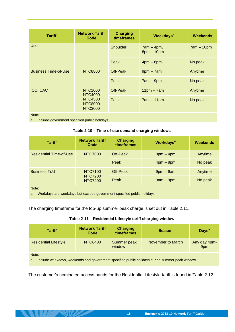| <b>Tariff</b>               | <b>Network Tariff</b><br>Code                                                   | <b>Charging</b><br>timeframes | <b>Weekdays<sup>a</sup></b>  | <b>Weekends</b> |
|-----------------------------|---------------------------------------------------------------------------------|-------------------------------|------------------------------|-----------------|
| <b>Use</b>                  |                                                                                 | Shoulder                      | $7am - 4pm,$<br>$8pm - 10pm$ | $7am - 10pm$    |
|                             |                                                                                 | Peak                          | $4pm - 8pm$                  | No peak         |
| <b>Business Time-of-Use</b> | <b>NTC8800</b>                                                                  | Off-Peak                      | $9$ pm $-7$ am               | Anytime         |
|                             |                                                                                 | Peak                          | $7am - 9pm$                  | No peak         |
| <b>ICC, CAC</b>             | <b>NTC1000</b><br>NTC4000<br><b>NTC4500</b><br><b>NTC8000</b><br><b>NTC3000</b> | Off-Peak                      | $11pm - 7am$                 | Anytime         |
|                             |                                                                                 | Peak                          | $7am - 11pm$                 | No peak         |
| Note:                       |                                                                                 |                               |                              |                 |

<span id="page-18-0"></span>a. Include government specified public holidays.

NU ZNI

| Table 2-10 - Time-of-use demand charging windows |  |
|--------------------------------------------------|--|
|--------------------------------------------------|--|

| <b>Tariff</b>                                                                             | <b>Network Tariff</b><br>Code               | <b>Charging</b><br>timeframes | <b>Workdays<sup>a</sup></b> | Weekends |  |
|-------------------------------------------------------------------------------------------|---------------------------------------------|-------------------------------|-----------------------------|----------|--|
| <b>Residential Time-of-Use</b>                                                            | <b>NTC7000</b>                              | Off-Peak                      | $8$ pm $-4$ pm              | Anytime  |  |
|                                                                                           |                                             | Peak                          | $4pm - 8pm$                 | No peak  |  |
| <b>Business ToU</b>                                                                       | NTC7100<br><b>NTC7200</b><br><b>NTC7400</b> | Off-Peak                      | $9$ pm $-9$ am              | Anytime  |  |
|                                                                                           |                                             | Peak                          | $9am - 9pm$                 | No peak  |  |
| Note:<br>Markdays are weekdays but evolude agvernment specified public holidays<br>$\sim$ |                                             |                               |                             |          |  |

irkdays are weekdays but exclude government specified public holidays.

<span id="page-18-1"></span>The charging timeframe for the top-up summer peak charge is set out in Table 2.11.

| <b>Tariff</b>                                                                                                 | <b>Network Tariff</b><br>Code | <b>Charging</b><br>timeframes | <b>Season</b>     | Days <sup>a</sup>   |
|---------------------------------------------------------------------------------------------------------------|-------------------------------|-------------------------------|-------------------|---------------------|
| <b>Residential Lifestyle</b>                                                                                  | NTC6400                       | Summer peak<br>window         | November to March | Any day 4pm-<br>9pm |
| Note:<br>Include weekdays, weekends and government specified public holidays during summer peak window.<br>a. |                               |                               |                   |                     |

The customer's nominated access bands for the Residential Lifestyle tariff is found in Table 2.12.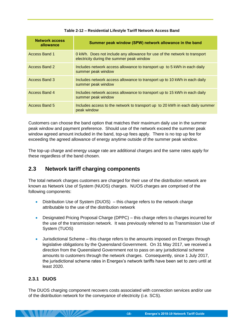<span id="page-19-2"></span>

| <b>Network access</b><br>allowance | Summer peak window (SPW) network allowance in the band                                                                 |
|------------------------------------|------------------------------------------------------------------------------------------------------------------------|
| Access Band 1                      | 0 kWh. Does not include any allowance for use of the network to transport<br>electricity during the summer peak window |
| Access Band 2                      | Includes network access allowance to transport up to 5 kWh in each daily<br>summer peak window                         |
| <b>Access Band 3</b>               | Includes network access allowance to transport up to 10 kWh in each daily<br>summer peak window                        |
| Access Band 4                      | Includes network access allowance to transport up to 15 kWh in each daily<br>summer peak window                        |
| Access Band 5                      | Includes access to the network to transport up to 20 kWh in each daily summer<br>peak window                           |

#### **Table 2-12 – Residential Lifestyle Tariff Network Access Band**

Customers can choose the band option that matches their maximum daily use in the summer peak window and payment preference. Should use of the network exceed the summer peak window agreed amount included in the band, top-up fees apply. There is no top up fee for exceeding the agreed allowance of energy anytime outside of the summer peak window.

The top-up charge and energy usage rate are additional charges and the same rates apply for these regardless of the band chosen.

# <span id="page-19-0"></span>**2.3 Network tariff charging components**

The total network charges customers are charged for their use of the distribution network are known as Network Use of System (NUOS) charges. NUOS charges are comprised of the following components:

- Distribution Use of System (DUOS) this charge refers to the network charge attributable to the use of the distribution network
- Designated Pricing Proposal Charge (DPPC) this charge refers to charges incurred for the use of the transmission network. It was previously referred to as Transmission Use of System (TUOS)
- Jurisdictional Scheme this charge refers to the amounts imposed on Energex through legislative obligations by the Queensland Government. On 31 May 2017, we received a direction from the Queensland Government not to pass on any jurisdictional scheme amounts to customers through the network charges. Consequently, since 1 July 2017, the jurisdictional scheme rates in Energex's network tariffs have been set to zero until at least 2020.

# <span id="page-19-1"></span>**2.3.1 DUOS**

 $\mathcal{L} \left( \mathcal{L} \right)$ 

The DUOS charging component recovers costs associated with connection services and/or use of the distribution network for the conveyance of electricity (i.e. SCS).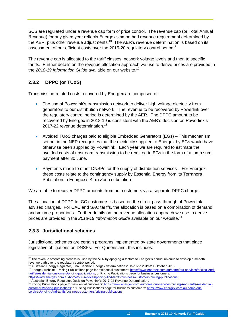SCS are regulated under a revenue cap form of price control. The revenue cap (or Total Annual Revenue) for any given year reflects Energex's smoothed revenue requirement determined by the AER, plus other revenue adjustments.<sup>10</sup> The AER's revenue determination is based on its assessment of our efficient costs over the 2015-20 regulatory control period.<sup>11</sup>

The revenue cap is allocated to the tariff classes, network voltage levels and then to specific tariffs. Further details on the revenue allocation approach we use to derive prices are provided in the *2018-19 Information Guide* available on our website. 12

# <span id="page-20-0"></span>**2.3.2 DPPC (or TUoS)**

Transmission-related costs recovered by Energex are comprised of:

- The use of Powerlink's transmission network to deliver high voltage electricity from generators to our distribution network. The revenue to be recovered by Powerlink over the regulatory control period is determined by the AER. The DPPC amount to be recovered by Energex in 2018-19 is consistent with the AER's decision on Powerlink's 2017-22 revenue determination.<sup>13</sup>
- Avoided TUoS charges paid to eligible Embedded Generators (EGs) This mechanism set out in the NER recognises that the electricity supplied to Energex by EGs would have otherwise been supplied by Powerlink. Each year we are required to estimate the avoided costs of upstream transmission to be remitted to EGs in the form of a lump sum payment after 30 June.
- Payments made to other DNSPs for the supply of distribution services For Energex, these costs relate to the contingency supply by Essential Energy from its Terranora Substation to Energex's Kirra Zone substation.

We are able to recover DPPC amounts from our customers via a separate DPPC charge.

The allocation of DPPC to ICC customers is based on the direct pass-through of Powerlink advised charges. For CAC and SAC tariffs, the allocation is based on a combination of demand and volume proportions. Further details on the revenue allocation approach we use to derive prices are provided in the *2018-19 Information Guide* available on our website. 14

# <span id="page-20-1"></span>**2.3.3 Jurisdictional schemes**

Jurisdictional schemes are certain programs implemented by state governments that place legislative obligations on DNSPs. For Queensland, this includes:

**-17- Energex's 2018-19 Network Tariff Guide**

<sup>-</sup> $10$  The revenue smoothing process is used by the AER by applying X factors to Energex's annual revenue to develop a smooth revenue path over the regulatory control period.

<sup>11</sup> Australian Energy Regulator, Final Decision Energex determination 2015-16 to 2019-20, October 2015.

<sup>12</sup> Energex website - Pricing Publications page for residential customers[: https://www.energex.com.au/home/our-services/pricing-And](https://www.energex.com.au/home/our-services/pricing-And-tariffs/residential-customers/pricing-publications)[tariffs/residential-customers/pricing-publications;](https://www.energex.com.au/home/our-services/pricing-And-tariffs/residential-customers/pricing-publications) or Pricing Publications page for business customers:

[https://www.energex.com.au/home/our-services/pricing-And-tariffs/business-customers/pricing-publications.](https://www.energex.com.au/home/our-services/pricing-And-tariffs/business-customers/pricing-publications)<br><sup>13</sup> Australian Energy Regulator, Decision Powerlink's 2017-22 Revenue Determination.

<sup>14</sup> Pricing Publications page for residential customers[: https://www.energex.com.au/home/our-services/pricing-And-tariffs/residential](https://www.energex.com.au/home/our-services/pricing-And-tariffs/residential-customers/pricing-publications)[customers/pricing-publications;](https://www.energex.com.au/home/our-services/pricing-And-tariffs/residential-customers/pricing-publications) or Pricing Publications page for business customers: [https://www.energex.com.au/home/our](https://www.energex.com.au/home/our-services/pricing-And-tariffs/business-customers/pricing-publications)[services/pricing-And-tariffs/business-customers/pricing-publications.](https://www.energex.com.au/home/our-services/pricing-And-tariffs/business-customers/pricing-publications)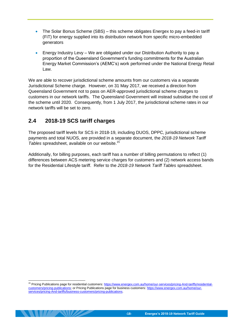- The Solar Bonus Scheme (SBS) this scheme obligates Energex to pay a feed-in tariff (FiT) for energy supplied into its distribution network from specific micro-embedded generators
- Energy Industry Levy We are obligated under our Distribution Authority to pay a proportion of the Queensland Government's funding commitments for the Australian Energy Market Commission's (AEMC's) work performed under the National Energy Retail Law.

We are able to recover jurisdictional scheme amounts from our customers via a separate Jurisdictional Scheme charge. However, on 31 May 2017, we received a direction from Queensland Government not to pass on AER-approved jurisdictional scheme charges to customers in our network tariffs. The Queensland Government will instead subsidise the cost of the scheme until 2020. Consequently, from 1 July 2017, the jurisdictional scheme rates in our network tariffs will be set to zero.

# <span id="page-21-0"></span>**2.4 2018-19 SCS tariff charges**

The proposed tariff levels for SCS in 2018-19, including DUOS, DPPC, jurisdictional scheme payments and total NUOS, are provided in a separate document, the *2018-19 Network Tariff Tables* spreadsheet, available on our website.<sup>15</sup>

Additionally, for billing purposes, each tariff has a number of billing permutations to reflect (1) differences between ACS metering service charges for customers and (2) network access bands for the Residential Lifestyle tariff. Refer to the *2018-19 Network Tariff Tables* spreadsheet.

<sup>-</sup><sup>15</sup> Pricing Publications page for residential customers[: https://www.energex.com.au/home/our-services/pricing-And-tariffs/residential](https://www.energex.com.au/home/our-services/pricing-And-tariffs/residential-customers/pricing-publications)[customers/pricing-publications;](https://www.energex.com.au/home/our-services/pricing-And-tariffs/residential-customers/pricing-publications) or Pricing Publications page for business customers: [https://www.energex.com.au/home/our](https://www.energex.com.au/home/our-services/pricing-And-tariffs/business-customers/pricing-publications)[services/pricing-And-tariffs/business-customers/pricing-publications.](https://www.energex.com.au/home/our-services/pricing-And-tariffs/business-customers/pricing-publications)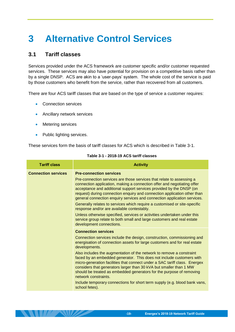# <span id="page-22-0"></span>**3 Alternative Control Services**

# <span id="page-22-1"></span>**3.1 Tariff classes**

Services provided under the ACS framework are customer specific and/or customer requested services. These services may also have potential for provision on a competitive basis rather than by a single DNSP. ACS are akin to a 'user-pays' system. The whole cost of the service is paid by those customers who benefit from the service, rather than recovered from all customers.

There are four ACS tariff classes that are based on the type of service a customer requires:

- Connection services
- Ancillary network services
- Metering services
- Public lighting services.

<span id="page-22-2"></span>These services form the basis of tariff classes for ACS which is described in [Table 3-1.](#page-22-2)

| <b>Tariff class</b>        | <b>Activity</b>                                                                                                                                                                                                                                                                                                                                                                                  |  |  |  |  |
|----------------------------|--------------------------------------------------------------------------------------------------------------------------------------------------------------------------------------------------------------------------------------------------------------------------------------------------------------------------------------------------------------------------------------------------|--|--|--|--|
| <b>Connection services</b> | <b>Pre-connection services</b>                                                                                                                                                                                                                                                                                                                                                                   |  |  |  |  |
|                            | Pre-connection services are those services that relate to assessing a<br>connection application, making a connection offer and negotiating offer<br>acceptance and additional support services provided by the DNSP (on<br>request) during connection enquiry and connection application other than<br>general connection enquiry services and connection application services.                  |  |  |  |  |
|                            | Generally relates to services which require a customised or site-specific<br>response and/or are available contestably.                                                                                                                                                                                                                                                                          |  |  |  |  |
|                            | Unless otherwise specified, services or activities undertaken under this<br>service group relate to both small and large customers and real estate<br>development connections.                                                                                                                                                                                                                   |  |  |  |  |
|                            | <b>Connection services</b>                                                                                                                                                                                                                                                                                                                                                                       |  |  |  |  |
|                            | Connection services include the design, construction, commissioning and<br>energisation of connection assets for large customers and for real estate<br>developments.                                                                                                                                                                                                                            |  |  |  |  |
|                            | Also includes the augmentation of the network to remove a constraint<br>faced by an embedded generator. This does not include customers with<br>micro-generation facilities that connect under a SAC tariff class. Energex<br>considers that generators larger than 30 kVA but smaller than 1 MW<br>should be treated as embedded generators for the purpose of removing<br>network constraints. |  |  |  |  |
|                            | Include temporary connections for short term supply (e.g. blood bank vans,<br>school fetes).                                                                                                                                                                                                                                                                                                     |  |  |  |  |

#### **Table 3-1 - 2018-19 ACS tariff classes**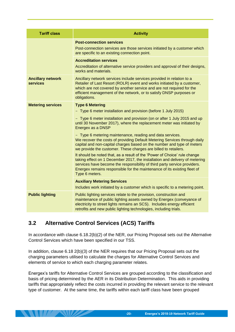| <b>Tariff class</b>                  | <b>Activity</b>                                                                                                                                                                                                                                                                                                                                                                                                                                                                                                                                                                                                                                                                                                                                                                                                                                                                                                                         |
|--------------------------------------|-----------------------------------------------------------------------------------------------------------------------------------------------------------------------------------------------------------------------------------------------------------------------------------------------------------------------------------------------------------------------------------------------------------------------------------------------------------------------------------------------------------------------------------------------------------------------------------------------------------------------------------------------------------------------------------------------------------------------------------------------------------------------------------------------------------------------------------------------------------------------------------------------------------------------------------------|
|                                      | <b>Post-connection services</b><br>Post-connection services are those services initiated by a customer which<br>are specific to an existing connection point.                                                                                                                                                                                                                                                                                                                                                                                                                                                                                                                                                                                                                                                                                                                                                                           |
|                                      | <b>Accreditation services</b><br>Accreditation of alternative service providers and approval of their designs,<br>works and materials.                                                                                                                                                                                                                                                                                                                                                                                                                                                                                                                                                                                                                                                                                                                                                                                                  |
| <b>Ancillary network</b><br>services | Ancillary network services include services provided in relation to a<br>Retailer of Last Resort (ROLR) event and works initiated by a customer,<br>which are not covered by another service and are not required for the<br>efficient management of the network, or to satisfy DNSP purposes or<br>obligations.                                                                                                                                                                                                                                                                                                                                                                                                                                                                                                                                                                                                                        |
| <b>Metering services</b>             | <b>Type 6 Metering</b><br>- Type 6 meter installation and provision (before 1 July 2015)<br>- Type 6 meter installation and provision (on or after 1 July 2015 and up<br>until 30 November 2017), where the replacement meter was initiated by<br>Energex as a DNSP<br>- Type 6 metering maintenance, reading and data services.<br>We recover the costs of providing Default Metering Services through daily<br>capital and non-capital charges based on the number and type of meters<br>we provide the customer. These charges are billed to retailers.<br>It should be noted that, as a result of the 'Power of Choice' rule change<br>taking effect on 1 December 2017, the installation and delivery of metering<br>services have become the responsibility of third party service providers.<br>Energex remains responsible for the maintenance of its existing fleet of<br>Type 6 meters.<br><b>Auxiliary Metering Services</b> |
|                                      | Includes work initiated by a customer which is specific to a metering point.                                                                                                                                                                                                                                                                                                                                                                                                                                                                                                                                                                                                                                                                                                                                                                                                                                                            |
| <b>Public lighting</b>               | Public lighting services relate to the provision, construction and<br>maintenance of public lighting assets owned by Energex (conveyance of<br>electricity to street lights remains an SCS). Includes energy efficient<br>retrofits and new public lighting technologies, including trials.                                                                                                                                                                                                                                                                                                                                                                                                                                                                                                                                                                                                                                             |

# <span id="page-23-0"></span>**3.2 Alternative Control Services (ACS) Tariffs**

**ANTILLE ANTIQUE** 

In accordance with clause 6.18.2(b)(2) of the NER, our Pricing Proposal sets out the Alternative Control Services which have been specified in our TSS.

In addition, clause 6.18 2(b)(3) of the NER requires that our Pricing Proposal sets out the charging parameters utilised to calculate the charges for Alternative Control Services and elements of service to which each charging parameter relates.

Energex's tariffs for Alternative Control Services are grouped according to the classification and basis of pricing determined by the AER in its Distribution Determination. This aids in providing tariffs that appropriately reflect the costs incurred in providing the relevant service to the relevant type of customer. At the same time, the tariffs within each tariff class have been grouped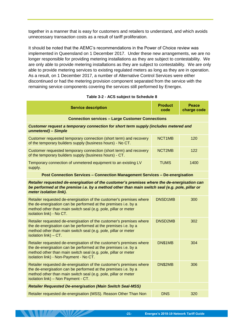together in a manner that is easy for customers and retailers to understand, and which avoids unnecessary transaction costs as a result of tariff proliferation.

It should be noted that the AEMC's recommendations in the Power of Choice review was implemented in Queensland on 1 December 2017. Under these new arrangements, we are no longer responsible for providing metering installations as they are subject to contestability. We are only able to provide metering installations as they are subject to contestability. We are only able to provide metering services to existing regulated meters as long as they are in operation. As a result, on 1 December 2017, a number of Alternative Control Services were either discontinued or had the metering provision component separated from the service with the remaining service components covering the services still performed by Energex.

|  |  |  | Table 3-2 - ACS subject to Schedule 8 |  |
|--|--|--|---------------------------------------|--|
|--|--|--|---------------------------------------|--|

<span id="page-24-0"></span>

| <b>Service description</b>                                                                                                                                                                                                                        | <b>Product</b><br>code                                  | <b>Peace</b><br>charge code |  |  |  |
|---------------------------------------------------------------------------------------------------------------------------------------------------------------------------------------------------------------------------------------------------|---------------------------------------------------------|-----------------------------|--|--|--|
|                                                                                                                                                                                                                                                   | <b>Connection services - Large Customer Connections</b> |                             |  |  |  |
| Customer request a temporary connection for short term supply (includes metered and<br>unmetered) - Simple                                                                                                                                        |                                                         |                             |  |  |  |
| Customer requested temporary connection (short term) and recovery<br>of the temporary builders supply (business hours) - No CT.                                                                                                                   | NCT1MB                                                  | 120                         |  |  |  |
| Customer requested temporary connection (short term) and recovery<br>of the temporary builders supply (business hours) - CT.                                                                                                                      | NCT2MB                                                  | 122                         |  |  |  |
| Temporary connection of unmetered equipment to an existing LV<br>supply.                                                                                                                                                                          | <b>TUMS</b>                                             | 1400                        |  |  |  |
| <b>Post Connection Services - Connection Management Services - De-energisation</b>                                                                                                                                                                |                                                         |                             |  |  |  |
| Retailer requested de-energisation of the customer's premises where the de-energisation can<br>be performed at the premise i.e. by a method other than main switch seal (e.g. pole, pillar or<br>meter isolation link).                           |                                                         |                             |  |  |  |
| Retailer requested de-energisation of the customer's premises where<br>the de-energisation can be performed at the premises i.e. by a<br>method other than main switch seal (e.g. pole, pillar or meter<br>isolation link) - No CT.               | <b>DNSD1MB</b>                                          | 300                         |  |  |  |
| Retailer requested de-energisation of the customer's premises where<br>the de-energisation can be performed at the premises i.e. by a<br>method other than main switch seal (e.g. pole, pillar or meter<br>isolation link) - CT.                  | DNSD2MB                                                 | 302                         |  |  |  |
| Retailer requested de-energisation of the customer's premises where<br>the de-energisation can be performed at the premises i.e. by a<br>method other than main switch seal (e.g. pole, pillar or meter<br>isolation link) - Non-Payment - No CT. | DN\$1MB                                                 | 304                         |  |  |  |
| Retailer requested de-energisation of the customer's premises where<br>the de-energisation can be performed at the premises i.e. by a<br>method other than main switch seal (e.g. pole, pillar or meter<br>isolation link) - Non Payment - CT.    | DN\$2MB                                                 | 306                         |  |  |  |
| <b>Retailer Requested De-energisation (Main Switch Seal-MSS)</b>                                                                                                                                                                                  |                                                         |                             |  |  |  |
| Retailer requested de-energisation (MSS). Reason Other Than Non                                                                                                                                                                                   | <b>DNS</b>                                              | 320                         |  |  |  |

**ANTILANDE**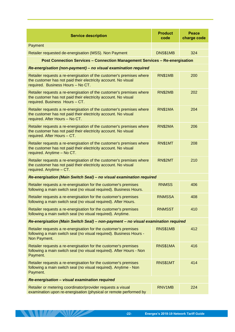| <b>Service description</b>                                                                                                                                                  | <b>Product</b><br>code | <b>Peace</b><br>charge code |  |  |
|-----------------------------------------------------------------------------------------------------------------------------------------------------------------------------|------------------------|-----------------------------|--|--|
| Payment                                                                                                                                                                     |                        |                             |  |  |
| Retailer requested de-energisation (MSS). Non Payment                                                                                                                       | DNS\$1MB               | 324                         |  |  |
| Post Connection Services - Connection Management Services - Re-energisation                                                                                                 |                        |                             |  |  |
| Re-energisation (non-payment) - no visual examination required                                                                                                              |                        |                             |  |  |
| Retailer requests a re-energisation of the customer's premises where<br>the customer has not paid their electricity account. No visual<br>required. Business Hours - No CT. | RN\$1MB                | 200                         |  |  |
| Retailer requests a re-energisation of the customer's premises where<br>the customer has not paid their electricity account. No visual<br>required. Business Hours - CT.    | RN\$2MB                | 202                         |  |  |
| Retailer requests a re-energisation of the customer's premises where<br>the customer has not paid their electricity account. No visual<br>required. After Hours - No CT.    | RN\$1MA                | 204                         |  |  |
| Retailer requests a re-energisation of the customer's premises where<br>the customer has not paid their electricity account. No visual<br>required. After Hours - CT.       | RN\$2MA                | 206                         |  |  |
| Retailer requests a re-energisation of the customer's premises where<br>the customer has not paid their electricity account. No visual<br>required. Anytime - No CT.        | <b>RN\$1MT</b>         | 208                         |  |  |
| Retailer requests a re-energisation of the customer's premises where<br>the customer has not paid their electricity account. No visual<br>required. Anytime - CT.           | RN\$2MT                | 210                         |  |  |
| Re-energisation (Main Switch Seal) - no visual examination required                                                                                                         |                        |                             |  |  |
| Retailer requests a re-energisation for the customer's premises<br>following a main switch seal (no visual required). Business Hours.                                       | <b>RNMSS</b>           | 406                         |  |  |
| Retailer requests a re-energisation for the customer's premises<br>following a main switch seal (no visual required). After Hours.                                          | <b>RNMSSA</b>          | 408                         |  |  |
| Retailer requests a re-energisation for the customer's premises<br>following a main switch seal (no visual required). Anytime.                                              | <b>RNMSST</b>          | 410                         |  |  |
| Re-energisation (Main Switch Seal) - non-payment - no visual examination required                                                                                           |                        |                             |  |  |
| Retailer requests a re-energisation for the customer's premises<br>following a main switch seal (no visual required). Business Hours -<br>Non Payment.                      | RNS\$1MB               | 412                         |  |  |
| Retailer requests a re-energisation for the customer's premises<br>following a main switch seal (no visual required). After Hours - Non<br>Payment.                         | RNS\$1MA               | 416                         |  |  |
| Retailer requests a re-energisation for the customer's premises<br>following a main switch seal (no visual required). Anytime - Non<br>Payment.                             | RNS\$1MT               | 414                         |  |  |
| Re-energisation - visual examination required                                                                                                                               |                        |                             |  |  |
| Retailer or metering coordinator/provider requests a visual<br>examination upon re-energisation (physical or remote performed by                                            | RNV1MB                 | 224                         |  |  |

**THE REAL PROPERTY**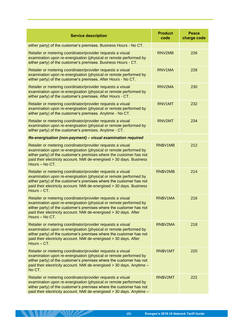| <b>Service description</b>                                                                                                                                                                                                                                                                        | <b>Product</b><br>code | <b>Peace</b><br>charge code |
|---------------------------------------------------------------------------------------------------------------------------------------------------------------------------------------------------------------------------------------------------------------------------------------------------|------------------------|-----------------------------|
| either party) of the customer's premises. Business Hours - No CT.                                                                                                                                                                                                                                 |                        |                             |
| Retailer or metering coordinator/provider requests a visual<br>examination upon re-energisation (physical or remote performed by<br>either party) of the customer's premises. Business Hours - CT.                                                                                                | RNV2MB                 | 226                         |
| Retailer or metering coordinator/provider requests a visual<br>examination upon re-energisation (physical or remote performed by<br>either party) of the customer's premises. After Hours - No CT.                                                                                                | RNV1MA                 | 228                         |
| Retailer or metering coordinator/provider requests a visual<br>examination upon re-energisation (physical or remote performed by<br>either party) of the customer's premises. After Hours - CT.                                                                                                   | RNV2MA                 | 230                         |
| Retailer or metering coordinator/provider requests a visual<br>examination upon re-energisation (physical or remote performed by<br>either party) of the customer's premises. Anytime - No CT.                                                                                                    | RNV1MT                 | 232                         |
| Retailer or metering coordinator/provider requests a visual<br>examination upon re-energisation (physical or remote performed by<br>either party) of the customer's premises. Anytime - CT.                                                                                                       | RNV2MT                 | 234                         |
| Re-energisation (non-payment) - visual examination required                                                                                                                                                                                                                                       |                        |                             |
| Retailer or metering coordinator/provider requests a visual<br>examination upon re-energisation (physical or remote performed by<br>either party) of the customer's premises where the customer has not<br>paid their electricity account. NMI de-energised > 30 days. Business<br>Hours - No CT. | RN\$V1MB               | 212                         |
| Retailer or metering coordinator/provider requests a visual<br>examination upon re-energisation (physical or remote performed by<br>either party) of the customer's premises where the customer has not<br>paid their electricity account. NMI de-energised > 30 days. Business<br>Hours - CT.    | RN\$V2MB               | 214                         |
| Retailer or metering coordinator/provider requests a visual<br>examination upon re-energisation (physical or remote performed by<br>either party) of the customer's premises where the customer has not<br>paid their electricity account. NMI de-energised > 30 days. After<br>Hours - No CT.    | RN\$V1MA               | 216                         |
| Retailer or metering coordinator/provider requests a visual<br>examination upon re-energisation (physical or remote performed by<br>either party) of the customer's premises where the customer has not<br>paid their electricity account. NMI de-energised > 30 days. After<br>Hours - CT.       | RN\$V2MA               | 218                         |
| Retailer or metering coordinator/provider requests a visual<br>examination upon re-energisation (physical or remote performed by<br>either party) of the customer's premises where the customer has not<br>paid their electricity account. NMI de-energised > 30 days. Anytime -<br>No CT.        | RN\$V1MT               | 220                         |
| Retailer or metering coordinator/provider requests a visual<br>examination upon re-energisation (physical or remote performed by<br>either party) of the customer's premises where the customer has not<br>paid their electricity account. NMI de-energised > 30 days. Anytime -                  | RN\$V2MT               | 222                         |

**THE REAL PROPERTY**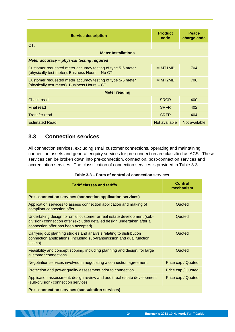| <b>Service description</b>                                                                                      | <b>Product</b><br>code | <b>Peace</b><br>charge code |
|-----------------------------------------------------------------------------------------------------------------|------------------------|-----------------------------|
| CT.                                                                                                             |                        |                             |
| <b>Meter Installations</b>                                                                                      |                        |                             |
| <b>Meter accuracy - physical testing required</b>                                                               |                        |                             |
| Customer requested meter accuracy testing of type 5-6 meter<br>(physically test meter). Business Hours - No CT. | MIMT <sub>1</sub> MB   | 704                         |
| Customer requested meter accuracy testing of type 5-6 meter<br>(physically test meter). Business Hours - CT.    | MIMT2MB                | 706                         |
| <b>Meter reading</b>                                                                                            |                        |                             |
| Check read                                                                                                      | <b>SRCR</b>            | 400                         |
| Final read                                                                                                      | <b>SRFR</b>            | 402                         |
| <b>Transfer read</b>                                                                                            | <b>SRTR</b>            | 404                         |
| <b>Estimated Read</b>                                                                                           | Not available          | Not available               |

# <span id="page-27-0"></span>**3.3 Connection services**

**THE REAL PROPERTY** 

All connection services, excluding small customer connections, operating and maintaining connection assets and general enquiry services for pre-connection are classified as ACS. These services can be broken down into pre-connection, connection, post-connection services and accreditation services. The classification of connection services is provided in [Table 3-3.](#page-27-1)

<span id="page-27-1"></span>

| <b>Tariff classes and tariffs</b>                                                                                                                                                         | Control<br>mechanism |
|-------------------------------------------------------------------------------------------------------------------------------------------------------------------------------------------|----------------------|
| Pre - connection services (connection application services)                                                                                                                               |                      |
| Application services to assess connection application and making of<br>compliant connection offer.                                                                                        | Quoted               |
| Undertaking design for small customer or real estate development (sub-<br>division) connection offer (excludes detailed design undertaken after a<br>connection offer has been accepted). | Quoted               |
| Carrying out planning studies and analysis relating to distribution<br>connection applications (including sub-transmission and dual function<br>assets).                                  | Quoted               |
| Feasibility and concept scoping, including planning and design, for large<br>customer connections.                                                                                        | Quoted               |
| Negotiation services involved in negotiating a connection agreement.                                                                                                                      | Price cap / Quoted   |
| Protection and power quality assessment prior to connection.                                                                                                                              | Price cap / Quoted   |
| Application assessment, design review and audit real estate development<br>(sub-division) connection services.                                                                            | Price cap / Quoted   |
| Pre - connection services (consultation services)                                                                                                                                         |                      |

| Table 3-3 - Form of control of connection services |  |  |  |
|----------------------------------------------------|--|--|--|
|                                                    |  |  |  |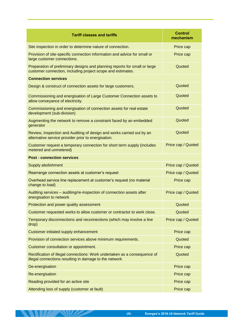| <b>Tariff classes and tariffs</b>                                                                                                         | <b>Control</b><br>mechanism |
|-------------------------------------------------------------------------------------------------------------------------------------------|-----------------------------|
| Site inspection in order to determine nature of connection.                                                                               | Price cap                   |
| Provision of site-specific connection information and advice for small or<br>large customer connections.                                  | Price cap                   |
| Preparation of preliminary designs and planning reports for small or large<br>customer connection, including project scope and estimates. | Quoted                      |
| <b>Connection services</b>                                                                                                                |                             |
| Design & construct of connection assets for large customers.                                                                              | Quoted                      |
| Commissioning and energisation of Large Customer Connection assets to<br>allow conveyance of electricity.                                 | Quoted                      |
| Commissioning and energisation of connection assets for real estate<br>development (sub-division)                                         | Quoted                      |
| Augmenting the network to remove a constraint faced by an embedded<br>generator                                                           | Quoted                      |
| Review, Inspection and Auditing of design and works carried out by an<br>alternative service provider prior to energisation.              | Quoted                      |
| Customer request a temporary connection for short term supply (includes<br>metered and unmetered)                                         | Price cap / Quoted          |
| <b>Post - connection services</b>                                                                                                         |                             |
| Supply abolishment                                                                                                                        | Price cap / Quoted          |
| Rearrange connection assets at customer's request                                                                                         | Price cap / Quoted          |
| Overhead service line replacement at customer's request (no material<br>change to load)                                                   | Price cap                   |
| Auditing services - auditing/re-inspection of connection assets after<br>energisation to network                                          | Price cap / Quoted          |
| Protection and power quality assessment                                                                                                   | Quoted                      |
| Customer requested works to allow customer or contractor to work close.                                                                   | Quoted                      |
| Temporary disconnections and reconnections (which may involve a line<br>drop)                                                             | Price cap / Quoted          |
| Customer initiated supply enhancement                                                                                                     | Price cap                   |
| Provision of connection services above minimum requirements.                                                                              | Quoted                      |
| Customer consultation or appointment.                                                                                                     | Price cap                   |
| Rectification of illegal connections: Work undertaken as a consequence of<br>illegal connections resulting in damage to the network       | Quoted                      |
| De-energisation                                                                                                                           | Price cap                   |
| Re-energisation                                                                                                                           | Price cap                   |
| Reading provided for an active site                                                                                                       | Price cap                   |
| Attending loss of supply (customer at fault)                                                                                              | Price cap                   |

**ANTILLE STREET**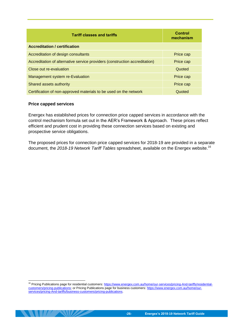| <b>Tariff classes and tariffs</b>                                           | <b>Control</b><br>mechanism |
|-----------------------------------------------------------------------------|-----------------------------|
| <b>Accreditation / certification</b>                                        |                             |
| Accreditation of design consultants                                         | Price cap                   |
| Accreditation of alternative service providers (construction accreditation) | Price cap                   |
| Close out re-evaluation                                                     | Quoted                      |
| Management system re-Evaluation                                             | Price cap                   |
| Shared assets authority                                                     | Price cap                   |
| Certification of non-approved materials to be used on the network           | Quoted                      |

### **Price capped services**

-

**SAMILLA SAMB** 

Energex has established prices for connection price capped services in accordance with the control mechanism formula set out in the AER's Framework & Approach. These prices reflect efficient and prudent cost in providing these connection services based on existing and prospective service obligations.

The proposed prices for connection price capped services for 2018-19 are provided in a separate document, the *2018-19 Network Tariff Tables* spreadsheet, available on the Energex website.<sup>16</sup>

<sup>&</sup>lt;sup>16</sup> Pricing Publications page for residential customers[: https://www.energex.com.au/home/our-services/pricing-And-tariffs/residential](https://www.energex.com.au/home/our-services/pricing-And-tariffs/residential-customers/pricing-publications)[customers/pricing-publications;](https://www.energex.com.au/home/our-services/pricing-And-tariffs/residential-customers/pricing-publications) or Pricing Publications page for business customers: [https://www.energex.com.au/home/our](https://www.energex.com.au/home/our-services/pricing-And-tariffs/business-customers/pricing-publications)[services/pricing-And-tariffs/business-customers/pricing-publications.](https://www.energex.com.au/home/our-services/pricing-And-tariffs/business-customers/pricing-publications)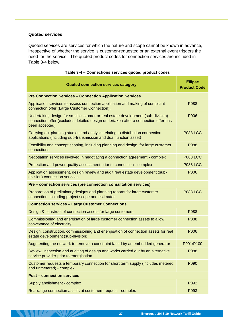### **Quoted services**

**THE SHOP SHOP** 

Quoted services are services for which the nature and scope cannot be known in advance, irrespective of whether the service is customer-requested or an external event triggers the need for the service. The quoted product codes for connection services are included in [Table 3-4](#page-30-0) below.

<span id="page-30-0"></span>

| <b>Quoted connection services category</b>                                                                                                                                              | <b>Ellipse</b><br><b>Product Code</b> |
|-----------------------------------------------------------------------------------------------------------------------------------------------------------------------------------------|---------------------------------------|
| <b>Pre Connection Services - Connection Application Services</b>                                                                                                                        |                                       |
| Application services to assess connection application and making of compliant<br>connection offer (Large Customer Connection).                                                          | P088                                  |
| Undertaking design for small customer or real estate development (sub-division)<br>connection offer (excludes detailed design undertaken after a connection offer has<br>been accepted) | P006                                  |
| Carrying out planning studies and analysis relating to distribution connection<br>applications (including sub-transmission and dual function asset)                                     | <b>P088 LCC</b>                       |
| Feasibility and concept scoping, including planning and design, for large customer<br>connections.                                                                                      | P088                                  |
| Negotiation services involved in negotiating a connection agreement - complex                                                                                                           | <b>P088 LCC</b>                       |
| Protection and power quality assessment prior to connection - complex                                                                                                                   | <b>P088 LCC</b>                       |
| Application assessment, design review and audit real estate development (sub-<br>division) connection services.                                                                         | P006                                  |
| Pre - connection services (pre connection consultation services)                                                                                                                        |                                       |
| Preparation of preliminary designs and planning reports for large customer<br>connection, including project scope and estimates                                                         | <b>P088 LCC</b>                       |
| <b>Connection services - Large Customer Connections</b>                                                                                                                                 |                                       |
| Design & construct of connection assets for large customers.                                                                                                                            | P088                                  |
| Commissioning and energisation of large customer connection assets to allow<br>conveyance of electricity.                                                                               | P088                                  |
| Design, construction, commissioning and energisation of connection assets for real<br>estate development (sub-division)                                                                 | P006                                  |
| Augmenting the network to remove a constraint faced by an embedded generator                                                                                                            | P091/P100                             |
| Review, inspection and auditing of design and works carried out by an alternative<br>service provider prior to energisation.                                                            | P088                                  |
| Customer requests a temporary connection for short term supply (includes metered<br>and unmetered) - complex                                                                            | P090                                  |
| <b>Post - connection services</b>                                                                                                                                                       |                                       |
| Supply abolishment - complex                                                                                                                                                            | P092                                  |
| Rearrange connection assets at customers request - complex                                                                                                                              | P093                                  |

## **Table 3-4 – Connections services quoted product codes**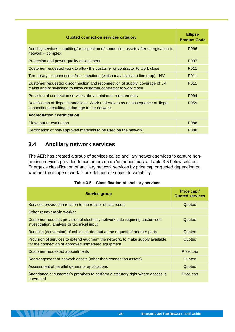| <b>Quoted connection services category</b>                                                                                                        | <b>Ellipse</b><br><b>Product Code</b> |
|---------------------------------------------------------------------------------------------------------------------------------------------------|---------------------------------------|
| Auditing services – auditing/re-inspection of connection assets after energisation to<br>network - complex                                        | P096                                  |
| Protection and power quality assessment                                                                                                           | P <sub>097</sub>                      |
| Customer requested work to allow the customer or contractor to work close                                                                         | P011                                  |
| Temporary disconnections/reconnections (which may involve a line drop) - HV                                                                       | P011                                  |
| Customer requested disconnection and reconnection of supply, coverage of LV<br>mains and/or switching to allow customer/contractor to work close. | P011                                  |
| Provision of connection services above minimum requirements                                                                                       | P <sub>094</sub>                      |
| Rectification of illegal connections: Work undertaken as a consequence of illegal<br>connections resulting in damage to the network               | P <sub>059</sub>                      |
| <b>Accreditation / certification</b>                                                                                                              |                                       |
| Close out re-evaluation                                                                                                                           | P088                                  |
| Certification of non-approved materials to be used on the network                                                                                 | P088                                  |

# <span id="page-31-0"></span>**3.4 Ancillary network services**

 $\blacksquare$ 

The AER has created a group of services called ancillary network services to capture nonroutine services provided to customers on an 'as needs' basis. [Table 3-5](#page-31-1) below sets out Energex's classification of ancillary network services by price cap or quoted depending on whether the scope of work is pre-defined or subject to variability.

### **Table 3-5 – Classification of ancillary services**

<span id="page-31-1"></span>

| Service group                                                                                                                        | Price cap /<br><b>Quoted services</b> |
|--------------------------------------------------------------------------------------------------------------------------------------|---------------------------------------|
| Services provided in relation to the retailer of last resort                                                                         | Quoted                                |
| Other recoverable works:                                                                                                             |                                       |
| Customer requests provision of electricity network data requiring customised<br>investigation, analysis or technical input           | Quoted                                |
| Bundling (conversion) of cables carried out at the request of another party                                                          | Quoted                                |
| Provision of services to extend /augment the network, to make supply available<br>for the connection of approved unmetered equipment | Quoted                                |
| <b>Customer requested appointments</b>                                                                                               | Price cap                             |
| Rearrangement of network assets (other than connection assets)                                                                       | Quoted                                |
| Assessment of parallel generator applications                                                                                        | Quoted                                |
| Attendance at customer's premises to perform a statutory right where access is<br>prevented                                          | Price cap                             |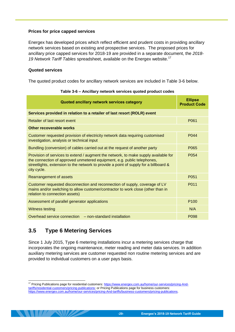## **Prices for price capped services**

Energex has developed prices which reflect efficient and prudent costs in providing ancillary network services based on existing and prospective services. The proposed prices for ancillary price capped services for 2018-19 are provided in a separate document, the *2018-* 19 Network Tariff Tables spreadsheet, available on the Energex website.<sup>17</sup>

## **Quoted services**

<span id="page-32-1"></span>The quoted product codes for ancillary network services are included in [Table 3-6](#page-32-1) below.

| Quoted ancillary network services category                                                                                                                                                                                                                             | <b>Ellipse</b><br><b>Product Code</b> |
|------------------------------------------------------------------------------------------------------------------------------------------------------------------------------------------------------------------------------------------------------------------------|---------------------------------------|
| Services provided in relation to a retailer of last resort (ROLR) event                                                                                                                                                                                                |                                       |
| Retailer of last resort event                                                                                                                                                                                                                                          | P061                                  |
| Other recoverable works                                                                                                                                                                                                                                                |                                       |
| Customer requested provision of electricity network data requiring customised<br>investigation, analysis or technical input                                                                                                                                            | P <sub>044</sub>                      |
| Bundling (conversion) of cables carried out at the request of another party                                                                                                                                                                                            | P065                                  |
| Provision of services to extend / augment the network, to make supply available for<br>the connection of approved unmetered equipment, e.g. public telephones,<br>streetlights, extension to the network to provide a point of supply for a billboard &<br>city cycle. | P <sub>054</sub>                      |
| Rearrangement of assets                                                                                                                                                                                                                                                | P051                                  |
| Customer requested disconnection and reconnection of supply, coverage of LV<br>mains and/or switching to allow customer/contractor to work close (other than in<br>relation to connection assets)                                                                      | P011                                  |
| Assessment of parallel generator applications                                                                                                                                                                                                                          | P <sub>100</sub>                      |
| <b>Witness testing</b>                                                                                                                                                                                                                                                 | N/A                                   |
| Overhead service connection – non-standard installation                                                                                                                                                                                                                | P <sub>098</sub>                      |

|  |  | Table 3-6 - Ancillary network services quoted product codes |  |
|--|--|-------------------------------------------------------------|--|
|--|--|-------------------------------------------------------------|--|

# <span id="page-32-0"></span>**3.5 Type 6 Metering Services**

-

Since 1 July 2015, Type 6 metering installations incur a metering services charge that incorporates the ongoing maintenance, meter reading and meter data services. In addition auxiliary metering services are customer requested non routine metering services and are provided to individual customers on a user pays basis.

<sup>&</sup>lt;sup>17</sup> Pricing Publications page for residential customers[: https://www.energex.com.au/home/our-services/pricing-And](https://www.energex.com.au/home/our-services/pricing-And-tariffs/residential-customers/pricing-publications)[tariffs/residential-customers/pricing-publications;](https://www.energex.com.au/home/our-services/pricing-And-tariffs/residential-customers/pricing-publications) or Pricing Publications page for business customers: [https://www.energex.com.au/home/our-services/pricing-And-tariffs/business-customers/pricing-publications.](https://www.energex.com.au/home/our-services/pricing-And-tariffs/business-customers/pricing-publications)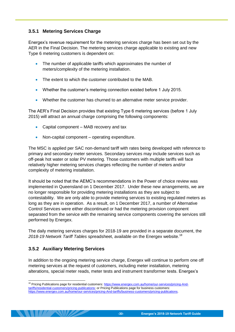# <span id="page-33-0"></span>**3.5.1 Metering Services Charge**

Energex's revenue requirement for the metering services charge has been set out by the AER in the Final Decision. The metering services charge applicable to existing and new Type 6 metering customers is dependent on:

- The number of applicable tariffs which approximates the number of meters/complexity of the metering installation.
- The extent to which the customer contributed to the MAB.
- Whether the customer's metering connection existed before 1 July 2015.
- Whether the customer has churned to an alternative meter service provider.

The AER's Final Decision provides that existing Type 6 metering services (before 1 July 2015) will attract an annual charge comprising the following components:

- Capital component MAB recovery and tax
- Non-capital component operating expenditure.

The MSC is applied per SAC non-demand tariff with rates being developed with reference to primary and secondary meter services. Secondary services may include services such as off-peak hot water or solar PV metering. Those customers with multiple tariffs will face relatively higher metering services charges reflecting the number of meters and/or complexity of metering installation.

It should be noted that the AEMC's recommendations in the Power of choice review was implemented in Queensland on 1 December 2017. Under these new arrangements, we are no longer responsible for providing metering installations as they are subject to contestability. We are only able to provide metering services to existing regulated meters as long as they are in operation. As a result, on 1 December 2017, a number of Alternative Control Services were either discontinued or had the metering provision component separated from the service with the remaining service components covering the services still performed by Energex.

The daily metering services charges for 2018-19 are provided in a separate document, the *2018-19 Network Tariff Tables* spreadsheet, available on the Energex website.<sup>18</sup>

# <span id="page-33-1"></span>**3.5.2 Auxiliary Metering Services**

In addition to the ongoing metering service charge, Energex will continue to perform one off metering services at the request of customers, including meter installation, metering alterations, special meter reads, meter tests and instrument transformer tests. Energex's

<sup>-</sup><sup>18</sup> Pricing Publications page for residential customers[: https://www.energex.com.au/home/our-services/pricing-And](https://www.energex.com.au/home/our-services/pricing-And-tariffs/residential-customers/pricing-publications)[tariffs/residential-customers/pricing-publications;](https://www.energex.com.au/home/our-services/pricing-And-tariffs/residential-customers/pricing-publications) or Pricing Publications page for business customers: [https://www.energex.com.au/home/our-services/pricing-And-tariffs/business-customers/pricing-publications.](https://www.energex.com.au/home/our-services/pricing-And-tariffs/business-customers/pricing-publications)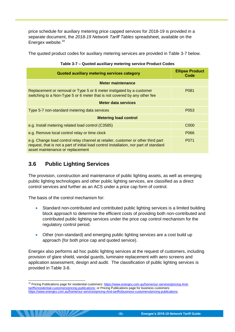price schedule for auxiliary metering price capped services for 2018-19 is provided in a separate document, the *2018-19 Network Tariff Tables* spreadsheet, available on the Energex website.<sup>19</sup>

<span id="page-34-1"></span>The quoted product codes for auxiliary metering services are provided in [Table 3-7](#page-34-1) below.

| Quoted auxiliary metering services category                                                                                                                                                                    | <b>Ellipse Product</b><br>Code |
|----------------------------------------------------------------------------------------------------------------------------------------------------------------------------------------------------------------|--------------------------------|
| <b>Meter maintenance</b>                                                                                                                                                                                       |                                |
| Replacement or removal or Type 5 or 6 meter instigated by a customer<br>switching to a Non-Type 5 or 6 meter that is not covered by any other fee                                                              | P081                           |
| Meter data services                                                                                                                                                                                            |                                |
| Type 5-7 non-standard metering data services                                                                                                                                                                   | P053                           |
| <b>Metering load control</b>                                                                                                                                                                                   |                                |
| e.g. Install metering related load control (C3585)                                                                                                                                                             | C <sub>000</sub>               |
| e.g. Remove local control relay or time clock                                                                                                                                                                  | P066                           |
| e.g. Change load control relay channel at retailer, customer or other third part<br>request, that is not a part of initial load control installation, nor part of standard<br>asset maintenance or replacement | P071                           |

## **Table 3-7 – Quoted auxiliary metering service Product Codes**

# <span id="page-34-0"></span>**3.6 Public Lighting Services**

The provision, construction and maintenance of public lighting assets, as well as emerging public lighting technologies and other public lighting services, are classified as a direct control services and further as an ACS under a price cap form of control.

The basis of the control mechanism for:

- Standard non-contributed and contributed public lighting services is a limited building block approach to determine the efficient costs of providing both non-contributed and contributed public lighting services under the price cap control mechanism for the regulatory control period.
- Other (non-standard) and emerging public lighting services are a cost build up approach (for both price cap and quoted service).

Energex also performs ad hoc public lighting services at the request of customers, including provision of glare shield, vandal guards, luminaire replacement with aero screens and application assessment, design and audit. The classification of public lighting services is provided in [Table 3-8.](#page-35-0)

<sup>-</sup><sup>19</sup> Pricing Publications page for residential customers[: https://www.energex.com.au/home/our-services/pricing-And](https://www.energex.com.au/home/our-services/pricing-And-tariffs/residential-customers/pricing-publications)[tariffs/residential-customers/pricing-publications;](https://www.energex.com.au/home/our-services/pricing-And-tariffs/residential-customers/pricing-publications) or Pricing Publications page for business customers: [https://www.energex.com.au/home/our-services/pricing-And-tariffs/business-customers/pricing-publications.](https://www.energex.com.au/home/our-services/pricing-And-tariffs/business-customers/pricing-publications)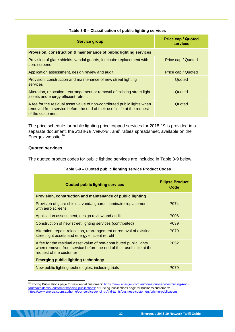<span id="page-35-0"></span>

| <b>Service group</b>                                                                                                                                                    | <b>Price cap / Quoted</b><br><b>services</b> |
|-------------------------------------------------------------------------------------------------------------------------------------------------------------------------|----------------------------------------------|
| Provision, construction & maintenance of public lighting services                                                                                                       |                                              |
| Provision of glare shields, vandal guards, luminaire replacement with<br>aero screens                                                                                   | Price cap / Quoted                           |
| Application assessment, design review and audit                                                                                                                         | Price cap / Quoted                           |
| Provision, construction and maintenance of new street lighting<br>services                                                                                              | Quoted                                       |
| Alteration, relocation, rearrangement or removal of existing street light<br>assets and energy efficient retrofit                                                       | Quoted                                       |
| A fee for the residual asset value of non-contributed public lights when<br>removed from service before the end of their useful life at the request<br>of the customer. | Quoted                                       |

#### **Table 3-8 – Classification of public lighting services**

The price schedule for public lighting price capped services for 2018-19 is provided in a separate document, the *2018-19 Network Tariff Tables* spreadsheet, available on the Energex website.<sup>20</sup>

#### **Quoted services**

-

<span id="page-35-1"></span>The quoted product codes for public lighting services are included in [Table 3-9](#page-35-1) below.

| <b>Quoted public lighting services</b>                                                                                                                                 | <b>Ellipse Product</b><br>Code |
|------------------------------------------------------------------------------------------------------------------------------------------------------------------------|--------------------------------|
| Provision, construction and maintenance of public lighting                                                                                                             |                                |
| Provision of glare shields, vandal guards, luminaire replacement<br>with aero screens                                                                                  | P074                           |
| Application assessment, design review and audit                                                                                                                        | P006                           |
| Construction of new street lighting services (contributed)                                                                                                             | P <sub>0</sub> 39              |
| Alteration, repair, relocation, rearrangement or removal of existing<br>street light assets and energy efficient retrofit                                              | P <sub>0</sub> 79              |
| A fee for the residual asset value of non-contributed public lights<br>when removed from service before the end of their useful life at the<br>request of the customer | P052                           |
| <b>Emerging public lighting technology</b>                                                                                                                             |                                |
| New public lighting technologies, including trials                                                                                                                     | P079                           |

#### **Table 3-9 – Quoted public lighting service Product Codes**

<sup>20</sup> Pricing Publications page for residential customers[: https://www.energex.com.au/home/our-services/pricing-And](https://www.energex.com.au/home/our-services/pricing-And-tariffs/residential-customers/pricing-publications)[tariffs/residential-customers/pricing-publications;](https://www.energex.com.au/home/our-services/pricing-And-tariffs/residential-customers/pricing-publications) or Pricing Publications page for business customers: [https://www.energex.com.au/home/our-services/pricing-And-tariffs/business-customers/pricing-publications.](https://www.energex.com.au/home/our-services/pricing-And-tariffs/business-customers/pricing-publications)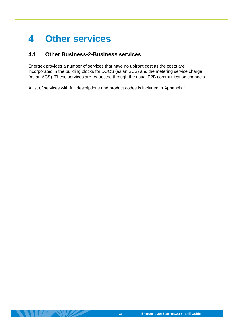# <span id="page-36-0"></span>**4 Other services**

# <span id="page-36-1"></span>**4.1 Other Business-2-Business services**

Energex provides a number of services that have no upfront cost as the costs are incorporated in the building blocks for DUOS (as an SCS) and the metering service charge (as an ACS). These services are requested through the usual B2B communication channels.

A list of services with full descriptions and product codes is included in Appendix 1.

 $\|H\|$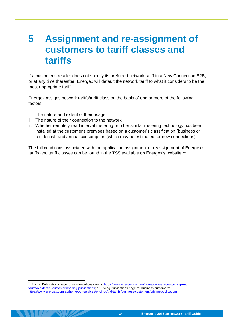# <span id="page-37-0"></span>**5 Assignment and re-assignment of customers to tariff classes and tariffs**

If a customer's retailer does not specify its preferred network tariff in a New Connection B2B, or at any time thereafter, Energex will default the network tariff to what it considers to be the most appropriate tariff.

Energex assigns network tariffs/tariff class on the basis of one or more of the following factors:

i. The nature and extent of their usage

-

- ii. The nature of their connection to the network
- iii. Whether remotely-read interval metering or other similar metering technology has been installed at the customer's premises based on a customer's classification (business or residential) and annual consumption (which may be estimated for new connections).

The full conditions associated with the application assignment or reassignment of Energex's tariffs and tariff classes can be found in the TSS available on Energex's website.<sup>21</sup>

<sup>21</sup> Pricing Publications page for residential customers[: https://www.energex.com.au/home/our-services/pricing-And](https://www.energex.com.au/home/our-services/pricing-And-tariffs/residential-customers/pricing-publications)[tariffs/residential-customers/pricing-publications;](https://www.energex.com.au/home/our-services/pricing-And-tariffs/residential-customers/pricing-publications) or Pricing Publications page for business customers: [https://www.energex.com.au/home/our-services/pricing-And-tariffs/business-customers/pricing-publications.](https://www.energex.com.au/home/our-services/pricing-And-tariffs/business-customers/pricing-publications)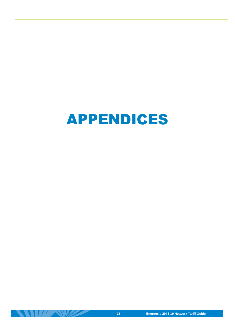

 $\mathbb{R}^n$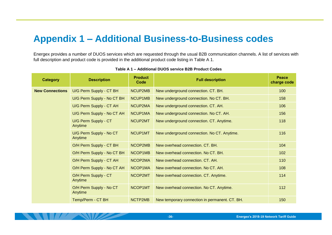# **Appendix 1 – Additional Business-to-Business codes**

Energex provides a number of DUOS services which are requested through the usual B2B communication channels. A list of services with full description and product code is provided in the additional product code listing in [Table A 1.](#page-39-1)

<span id="page-39-1"></span><span id="page-39-0"></span>

| <b>Category</b>        | <b>Description</b>                 | <b>Product</b><br>Code | <b>Full description</b>                        | <b>Peace</b><br>charge code |
|------------------------|------------------------------------|------------------------|------------------------------------------------|-----------------------------|
| <b>New Connections</b> | U/G Perm Supply - CT BH            | NCUP2MB                | New underground connection. CT. BH.            | 100                         |
|                        | U/G Perm Supply - No CT BH         | NCUP1MB                | New underground connection. No CT. BH.         | 158                         |
|                        | U/G Perm Supply - CT AH            | NCUP2MA                | New underground connection. CT. AH.            | 106                         |
|                        | U/G Perm Supply - No CT AH         | NCUP1MA                | New underground connection. No CT. AH.         | 156                         |
|                        | U/G Perm Supply - CT<br>Anytime    | NCUP2MT                | New underground connection. CT. Anytime.       | 118                         |
|                        | U/G Perm Supply - No CT<br>Anytime | NCUP1MT                | New underground connection. No CT. Anytime.    | 116                         |
|                        | O/H Perm Supply - CT BH            | NCOP2MB                | New overhead connection. CT. BH.               | 104                         |
|                        | O/H Perm Supply - No CT BH         | NCOP1MB                | New overhead connection. No CT. BH.            | 102                         |
|                        | O/H Perm Supply - CT AH            | NCOP2MA                | New overhead connection, CT, AH.               | 110                         |
|                        | O/H Perm Supply - No CT AH         | NCOP1MA                | New overhead connection. No CT. AH.            | 108                         |
|                        | O/H Perm Supply - CT<br>Anytime    | NCOP2MT                | New overhead connection. CT. Anytime.          | 114                         |
|                        | O/H Perm Supply - No CT<br>Anytime | NCOP1MT                | New overhead connection. No CT. Anytime.       | 112                         |
|                        | Temp/Perm - CT BH                  | NCTP2MB                | New temporary connection in permanent. CT. BH. | 150                         |

**Table A 1 – Additional DUOS service B2B Product Codes**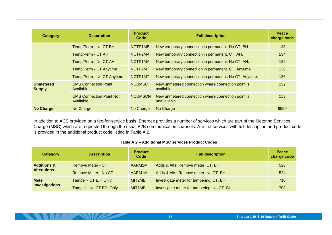| Category                          | <b>Description</b>                           | <b>Product</b><br>Code | <b>Full description</b>                                            | <b>Peace</b><br>charge code |
|-----------------------------------|----------------------------------------------|------------------------|--------------------------------------------------------------------|-----------------------------|
|                                   | Temp/Perm - No CT BH                         | NCTP1MB                | New temporary connection in permanent. No CT. BH.                  | 148                         |
|                                   | Temp/Perm - CT AH                            | NCTP2MA                | New temporary connection in permanent. CT. AH.                     | 134                         |
|                                   | Temp/Perm - No CT AH                         | NCTP1MA                | New temporary connection in permanent. No CT. AH.                  | 132                         |
|                                   | Temp/Perm - CT Anytime                       | NCTP2MT                | New temporary connection in permanent. CT. Anytime.                | 138                         |
|                                   | Temp/Perm - No CT Anytime                    | NCTP1MT                | New temporary connection in permanent. No CT. Anytime.             | 136                         |
| <b>Unmetered</b><br><b>Supply</b> | <b>UMS Connection Point</b><br>Available     | <b>NCUMSC</b>          | New unmetered connection where connection point is<br>available.   | 152                         |
|                                   | <b>UMS Connection Point Not</b><br>Available | <b>NCUMSCN</b>         | New unmetered connection where connection point is<br>unavailable. | 153                         |
| <b>No Charge</b>                  | No Charge                                    | No Charge              | No Charge                                                          | 9999                        |

In addition to ACS provided on a fee-for-service basis, Energex provides a number of services which are part of the Metering Services Charge (MSC) which are requested through the usual B2B communication channels. A list of services with full description and product code is provided in the additional product code listing in [Table A 2.](#page-40-0)

### **Table A 2 – Additional MSC services Product Codes**

<span id="page-40-0"></span>

| Category               | <b>Description</b>      | <b>Product</b><br>Code | <b>Full description</b>                     | <b>Peace</b><br>charge code |
|------------------------|-------------------------|------------------------|---------------------------------------------|-----------------------------|
| <b>Additions &amp;</b> | Remove Meter - CT       | AARM2M                 | Adds & Alts: Remove meter. CT. BH           | 526                         |
| <b>Alterations</b>     | Remove Meter - No CT    | AARM1M                 | Adds & Alts: Remove meter. No CT. BH.       | 524                         |
| <b>Meter</b>           | Tamper - CT B/H Only    | MIT2MB                 | Investigate meter for tampering. CT. BH.    | 710                         |
| investigations         | Tamper - No CT B/H Only | MIT <sub>1</sub> MB    | Investigate meter for tampering. No CT. BH. | 708                         |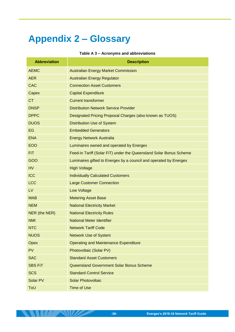# <span id="page-41-0"></span>**Appendix 2 – Glossary**

#### **Table A 3 – Acronyms and abbreviations**

| <b>Abbreviation</b> | <b>Description</b>                                                 |
|---------------------|--------------------------------------------------------------------|
| <b>AEMC</b>         | <b>Australian Energy Market Commission</b>                         |
| <b>AER</b>          | <b>Australian Energy Regulator</b>                                 |
| <b>CAC</b>          | <b>Connection Asset Customers</b>                                  |
| Capex               | <b>Capital Expenditure</b>                                         |
| <b>CT</b>           | <b>Current transformer</b>                                         |
| <b>DNSP</b>         | <b>Distribution Network Service Provider</b>                       |
| <b>DPPC</b>         | Designated Pricing Proposal Charges (also known as TUOS)           |
| <b>DUOS</b>         | <b>Distribution Use of System</b>                                  |
| <b>EG</b>           | <b>Embedded Generators</b>                                         |
| <b>ENA</b>          | <b>Energy Network Australia</b>                                    |
| <b>EOO</b>          | Luminaires owned and operated by Energex                           |
| FiT.                | Feed-in Tariff (Solar FiT) under the Queensland Solar Bonus Scheme |
| GOO                 | Luminaires gifted to Energex by a council and operated by Energex  |
| <b>HV</b>           | <b>High Voltage</b>                                                |
| <b>ICC</b>          | <b>Individually Calculated Customers</b>                           |
| <b>LCC</b>          | <b>Large Customer Connection</b>                                   |
| LV                  | <b>Low Voltage</b>                                                 |
| <b>MAB</b>          | <b>Metering Asset Base</b>                                         |
| <b>NEM</b>          | <b>National Electricity Market</b>                                 |
| NER (the NER)       | <b>National Electricity Rules</b>                                  |
| <b>NMI</b>          | <b>National Meter Identifier</b>                                   |
| <b>NTC</b>          | <b>Network Tariff Code</b>                                         |
| <b>NUOS</b>         | <b>Network Use of System</b>                                       |
| Opex                | <b>Operating and Maintenance Expenditure</b>                       |
| <b>PV</b>           | Photovoltaic (Solar PV)                                            |
| <b>SAC</b>          | <b>Standard Asset Customers</b>                                    |
| <b>SBS FiT</b>      | Queensland Government Solar Bonus Scheme                           |
| <b>SCS</b>          | <b>Standard Control Service</b>                                    |
| Solar PV            | <b>Solar Photovoltaic</b>                                          |
| ToU                 | <b>Time of Use</b>                                                 |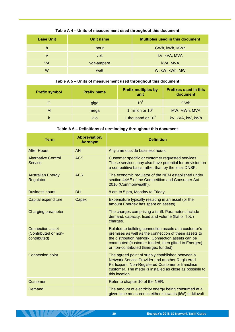| <b>Base Unit</b> | Unit name   | <b>Multiples used in this document</b> |
|------------------|-------------|----------------------------------------|
| h                | hour        | GWh, kWh, MWh                          |
| V                | volt        | kV, kVA, MVA                           |
| VA               | volt-ampere | kVA, MVA                               |
| W                | watt        | W, kW, kWh, MW                         |

# **Table A 4 – Units of measurement used throughout this document**

### **Table A 5 – Units of measurement used throughout this document**

| <b>Prefix symbol</b> | <b>Prefix name</b> | <b>Prefix multiples by</b><br>unit | <b>Prefixes used in this</b><br>document |
|----------------------|--------------------|------------------------------------|------------------------------------------|
| G                    | giga               | 10 <sup>9</sup>                    | GWh                                      |
| M                    | mega               | 1 million or 10 <sup>6</sup>       | MW, MWh, MVA                             |
|                      | kilo               | 1 thousand or $10^3$               | kV, kVA, kW, kWh                         |

# **Table A 6 – Definitions of terminology throughout this document**

| <b>Term</b>                                                     | Abbreviation/<br><b>Acronym</b> | <b>Definition</b>                                                                                                                                                                                                                                                     |
|-----------------------------------------------------------------|---------------------------------|-----------------------------------------------------------------------------------------------------------------------------------------------------------------------------------------------------------------------------------------------------------------------|
| <b>After Hours</b>                                              | AH                              | Any time outside business hours.                                                                                                                                                                                                                                      |
| <b>Alternative Control</b><br><b>Service</b>                    | <b>ACS</b>                      | Customer specific or customer requested services.<br>These services may also have potential for provision on<br>a competitive basis rather than by the local DNSP.                                                                                                    |
| <b>Australian Energy</b><br>Regulator                           | <b>AER</b>                      | The economic regulator of the NEM established under<br>section 44AE of the Competition and Consumer Act<br>2010 (Commonwealth).                                                                                                                                       |
| <b>Business hours</b>                                           | <b>BH</b>                       | 8 am to 5 pm, Monday to Friday.                                                                                                                                                                                                                                       |
| Capital expenditure                                             | Capex                           | Expenditure typically resulting in an asset (or the<br>amount Energex has spent on assets).                                                                                                                                                                           |
| <b>Charging parameter</b>                                       |                                 | The charges comprising a tariff. Parameters include<br>demand, capacity, fixed and volume (flat or ToU)<br>charges.                                                                                                                                                   |
| <b>Connection asset</b><br>(Contributed or non-<br>contributed) |                                 | Related to building connection assets at a customer's<br>premises as well as the connection of these assets to<br>the distribution network. Connection assets can be<br>contributed (customer funded, then gifted to Energex)<br>or non-contributed (Energex funded). |
| <b>Connection point</b>                                         |                                 | The agreed point of supply established between a<br>Network Service Provider and another Registered<br>Participant, Non-Registered Customer or franchise<br>customer. The meter is installed as close as possible to<br>this location.                                |
| <b>Customer</b>                                                 |                                 | Refer to chapter 10 of the NER.                                                                                                                                                                                                                                       |
| Demand                                                          |                                 | The amount of electricity energy being consumed at a<br>given time measured in either kilowatts (kW) or kilovolt                                                                                                                                                      |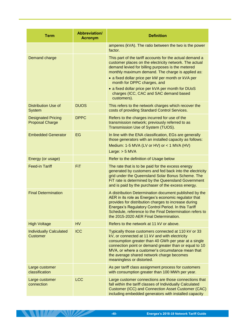| <b>Term</b>                                         | Abbreviation/<br><b>Acronym</b> | <b>Definition</b>                                                                                                                                                                                                                                                                                                                                                                                                               |
|-----------------------------------------------------|---------------------------------|---------------------------------------------------------------------------------------------------------------------------------------------------------------------------------------------------------------------------------------------------------------------------------------------------------------------------------------------------------------------------------------------------------------------------------|
|                                                     |                                 | amperes (kVA). The ratio between the two is the power<br>factor.                                                                                                                                                                                                                                                                                                                                                                |
| Demand charge                                       |                                 | This part of the tariff accounts for the actual demand a<br>customer places on the electricity network. The actual<br>demand levied for billing purposes is the metered<br>monthly maximum demand. The charge is applied as:<br>• a fixed dollar price per kW per month or kVA per<br>month for DPPC charges, and<br>• a fixed dollar price per kVA per month for DUoS<br>charges (ICC, CAC and SAC demand based<br>customers). |
| <b>Distribution Use of</b><br><b>System</b>         | <b>DUOS</b>                     | This refers to the network charges which recover the<br>costs of providing Standard Control Services.                                                                                                                                                                                                                                                                                                                           |
| <b>Designated Pricing</b><br><b>Proposal Charge</b> | <b>DPPC</b>                     | Refers to the charges incurred for use of the<br>transmission network; previously referred to as<br>Transmission Use of System (TUOS).                                                                                                                                                                                                                                                                                          |
| <b>Embedded Generator</b>                           | EG                              | In line with the ENA classification, EGs are generally<br>those generators with an installed capacity as follows:<br>Medium: 1-5 MVA (LV or HV) or $<$ 1 MVA (HV)<br>Large: $> 5$ MVA                                                                                                                                                                                                                                           |
| Energy (or usage)                                   |                                 | Refer to the definition of Usage below                                                                                                                                                                                                                                                                                                                                                                                          |
| <b>Feed-in Tariff</b>                               | <b>FiT</b>                      | The rate that is to be paid for the excess energy<br>generated by customers and fed back into the electricity<br>grid under the Queensland Solar Bonus Scheme. The<br>FiT rate is determined by the Queensland Government<br>and is paid by the purchaser of the excess energy.                                                                                                                                                 |
| <b>Final Determination</b>                          |                                 | A distribution Determination document published by the<br>AER in its role as Energex's economic regulator that<br>provides for distribution charges to increase during<br>Energex's Regulatory Control Period. In this Tariff<br>Schedule, reference to the Final Determination refers to<br>the 2015-2020 AER Final Determination.                                                                                             |
| <b>High Voltage</b>                                 | <b>HV</b>                       | Refers to the network at 11 kV or above.                                                                                                                                                                                                                                                                                                                                                                                        |
| <b>Individually Calculated</b><br><b>Customer</b>   | <b>ICC</b>                      | Typically those customers connected at 110 kV or 33<br>kV, or connected at 11 kV and with electricity<br>consumption greater than 40 GWh per year at a single<br>connection point or demand greater than or equal to 10<br>MVA, or where a customer's circumstance mean that<br>the average shared network charge becomes<br>meaningless or distorted.                                                                          |
| Large customer<br>classification                    |                                 | As per tariff class assignment process for customers<br>with consumption greater than 100 MWh per year.                                                                                                                                                                                                                                                                                                                         |
| Large customer<br>connection                        | <b>LCC</b>                      | Large customer connections are those connections that<br>fall within the tariff classes of Individually Calculated<br>Customer (ICC) and Connection Asset Customer (CAC)<br>including embedded generators with installed capacity                                                                                                                                                                                               |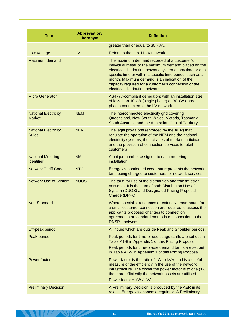| <b>Term</b>                                   | Abbreviation/<br><b>Acronym</b> | <b>Definition</b>                                                                                                                                                                                                                                                                                                                                                           |
|-----------------------------------------------|---------------------------------|-----------------------------------------------------------------------------------------------------------------------------------------------------------------------------------------------------------------------------------------------------------------------------------------------------------------------------------------------------------------------------|
|                                               |                                 | greater than or equal to 30 kVA.                                                                                                                                                                                                                                                                                                                                            |
| <b>Low Voltage</b>                            | LV                              | Refers to the sub-11 kV network                                                                                                                                                                                                                                                                                                                                             |
| <b>Maximum demand</b>                         |                                 | The maximum demand recorded at a customer's<br>individual meter or the maximum demand placed on the<br>electrical distribution network system at any time or at a<br>specific time or within a specific time period, such as a<br>month. Maximum demand is an indication of the<br>capacity required for a customer's connection or the<br>electrical distribution network. |
| <b>Micro Generator</b>                        |                                 | AS4777-compliant generators with an installation size<br>of less than 10 kW (single phase) or 30 kW (three<br>phase) connected to the LV network.                                                                                                                                                                                                                           |
| <b>National Electricity</b><br><b>Market</b>  | <b>NEM</b>                      | The interconnected electricity grid covering<br>Queensland, New South Wales, Victoria, Tasmania,<br>South Australia and the Australian Capital Territory.                                                                                                                                                                                                                   |
| <b>National Electricity</b><br><b>Rules</b>   | <b>NER</b>                      | The legal provisions (enforced by the AER) that<br>regulate the operation of the NEM and the national<br>electricity systems, the activities of market participants<br>and the provision of connection services to retail<br>customers                                                                                                                                      |
| <b>National Metering</b><br><b>Identifier</b> | <b>NMI</b>                      | A unique number assigned to each metering<br>installation.                                                                                                                                                                                                                                                                                                                  |
| <b>Network Tariff Code</b>                    | <b>NTC</b>                      | Energex's nominated code that represents the network<br>tariff being charged to customers for network services.                                                                                                                                                                                                                                                             |
| <b>Network Use of System</b>                  | <b>NUOS</b>                     | The tariff for use of the distribution and transmission<br>networks. It is the sum of both Distribution Use of<br>System (DUOS) and Designated Pricing Proposal<br>Charge (DPPC).                                                                                                                                                                                           |
| Non-Standard                                  |                                 | Where specialist resources or extensive man-hours for<br>a small customer connection are required to assess the<br>applicants proposed changes to connection<br>agreements or standard methods of connection to the<br><b>DNSP's network.</b>                                                                                                                               |
| Off-peak period                               |                                 | All hours which are outside Peak and Shoulder periods.                                                                                                                                                                                                                                                                                                                      |
| Peak period                                   |                                 | Peak periods for time-of-use usage tariffs are set out in<br>Table A1-8 in Appendix 1 of this Pricing Proposal.<br>Peak periods for time-of-use demand tariffs are set out<br>in Table A1-9 in Appendix 1 of this Pricing Proposal.                                                                                                                                         |
| Power factor                                  |                                 | Power factor is the ratio of kW to kVA, and is a useful<br>measure of the efficiency in the use of the network<br>infrastructure. The closer the power factor is to one (1),<br>the more efficiently the network assets are utilised.<br>Power factor = $kW / kVA$                                                                                                          |
| <b>Preliminary Decision</b>                   |                                 | A Preliminary Decision is produced by the AER in its<br>role as Energex's economic regulator. A Preliminary                                                                                                                                                                                                                                                                 |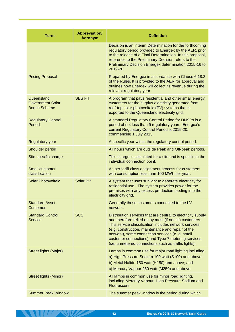| <b>Term</b>                                                  | <b>Abbreviation/</b><br><b>Acronym</b> | <b>Definition</b>                                                                                                                                                                                                                                                                                                                                                                                      |
|--------------------------------------------------------------|----------------------------------------|--------------------------------------------------------------------------------------------------------------------------------------------------------------------------------------------------------------------------------------------------------------------------------------------------------------------------------------------------------------------------------------------------------|
|                                                              |                                        | Decision is an interim Determination for the forthcoming<br>regulatory period provided to Energex by the AER, prior<br>to the release of a Final Determination. In this proposal,<br>reference to the Preliminary Decision refers to the<br>Preliminary Decision Energex determination 2015-16 to<br>2019-20.                                                                                          |
| <b>Pricing Proposal</b>                                      |                                        | Prepared by Energex in accordance with Clause 6.18.2<br>of the Rules. It is provided to the AER for approval and<br>outlines how Energex will collect its revenue during the<br>relevant regulatory year.                                                                                                                                                                                              |
| Queensland<br><b>Government Solar</b><br><b>Bonus Scheme</b> | <b>SBS FiT</b>                         | A program that pays residential and other small energy<br>customers for the surplus electricity generated from<br>roof-top solar photovoltaic (PV) systems that is<br>exported to the Queensland electricity grid.                                                                                                                                                                                     |
| <b>Regulatory Control</b><br>Period                          |                                        | A standard Regulatory Control Period for DNSPs is a<br>period of not less than 5 regulatory years. Energex's<br>current Regulatory Control Period is 2015-20,<br>commencing 1 July 2015.                                                                                                                                                                                                               |
| <b>Regulatory year</b>                                       |                                        | A specific year within the regulatory control period.                                                                                                                                                                                                                                                                                                                                                  |
| Shoulder period                                              |                                        | All hours which are outside Peak and Off-peak periods.                                                                                                                                                                                                                                                                                                                                                 |
| Site-specific charge                                         |                                        | This charge is calculated for a site and is specific to the<br>individual connection point.                                                                                                                                                                                                                                                                                                            |
| <b>Small customer</b><br>classification                      |                                        | As per tariff class assignment process for customers<br>with consumption less than 100 MWh per year.                                                                                                                                                                                                                                                                                                   |
| <b>Solar Photovoltaic</b>                                    | Solar PV                               | A system that uses sunlight to generate electricity for<br>residential use. The system provides power for the<br>premises with any excess production feeding into the<br>electricity grid.                                                                                                                                                                                                             |
| <b>Standard Asset</b><br><b>Customer</b>                     |                                        | Generally those customers connected to the LV<br>network.                                                                                                                                                                                                                                                                                                                                              |
| <b>Standard Control</b><br><b>Service</b>                    | <b>SCS</b>                             | Distribution services that are central to electricity supply<br>and therefore relied on by most (if not all) customers.<br>This service classification includes network services<br>(e.g. construction, maintenance and repair of the<br>network), some connection services (e. g. small<br>customer connections) and Type 7 metering services<br>(i.e. unmetered connections such as traffic lights). |
| Street lights (Major)                                        |                                        | Lamps in common use for major road lighting including:<br>a) High Pressure Sodium 100 watt (S100) and above;<br>b) Metal Halide 150 watt (H150) and above; and<br>c) Mercury Vapour 250 watt (M250) and above.                                                                                                                                                                                         |
| <b>Street lights (Minor)</b>                                 |                                        | All lamps in common use for minor road lighting,<br>including Mercury Vapour, High Pressure Sodium and<br>Fluorescent.                                                                                                                                                                                                                                                                                 |
| <b>Summer Peak Window</b>                                    |                                        | The summer peak window is the period during which                                                                                                                                                                                                                                                                                                                                                      |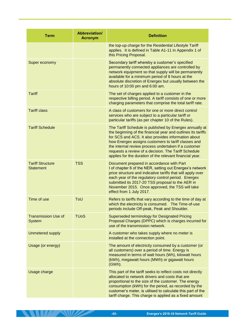| <b>Term</b>                                 | <b>Abbreviation/</b><br><b>Acronym</b> | <b>Definition</b>                                                                                                                                                                                                                                                                                                                                                                                                 |
|---------------------------------------------|----------------------------------------|-------------------------------------------------------------------------------------------------------------------------------------------------------------------------------------------------------------------------------------------------------------------------------------------------------------------------------------------------------------------------------------------------------------------|
|                                             |                                        | the top-up charge for the Residential Lifestyle Tariff<br>applies. It is defined in Table A1-11 in Appendix 1 of<br>this Pricing Proposal.                                                                                                                                                                                                                                                                        |
| Super economy                               |                                        | Secondary tariff whereby a customer's specified<br>permanently connected appliances are controlled by<br>network equipment so that supply will be permanently<br>available for a minimum period of 8 hours at the<br>absolute discretion of Energex but usually between the<br>hours of 10:00 pm and 6:00 am.                                                                                                     |
| <b>Tariff</b>                               |                                        | The set of charges applied to a customer in the<br>respective billing period. A tariff consists of one or more<br>charging parameters that comprise the total tariff rate.                                                                                                                                                                                                                                        |
| <b>Tariff class</b>                         |                                        | A class of customers for one or more direct control<br>services who are subject to a particular tariff or<br>particular tariffs (as per chapter 10 of the Rules).                                                                                                                                                                                                                                                 |
| <b>Tariff Schedule</b>                      |                                        | The Tariff Schedule is published by Energex annually at<br>the beginning of the financial year and outlines its tariffs<br>for SCS and ACS. It also provides information about<br>how Energex assigns customers to tariff classes and<br>the internal review process undertaken if a customer<br>requests a review of a decision. The Tariff Schedule<br>applies for the duration of the relevant financial year. |
| <b>Tariff Structure</b><br><b>Statement</b> | <b>TSS</b>                             | Document prepared in accordance with Part<br>I of chapter 6 of the NER, setting out Energex's network<br>price structure and indicative tariffs that will apply over<br>each year of the regulatory control period. Energex<br>submitted its 2017-20 TSS proposal to the AER in<br>November 2015. Once approved, the TSS will take<br>effect from 1 July 2017.                                                    |
| Time of use                                 | ToU                                    | Refers to tariffs that vary according to the time of day at<br>which the electricity is consumed. The Time-of-use<br>periods include Off-peak, Peak and Shoulder.                                                                                                                                                                                                                                                 |
| <b>Transmission Use of</b><br><b>System</b> | <b>TU<sub>o</sub>S</b>                 | Superseded terminology for Designated Pricing<br>Proposal Charges (DPPC) which is charges incurred for<br>use of the transmission network.                                                                                                                                                                                                                                                                        |
| <b>Unmetered supply</b>                     |                                        | A customer who takes supply where no meter is<br>installed at the connection point.                                                                                                                                                                                                                                                                                                                               |
| Usage (or energy)                           |                                        | The amount of electricity consumed by a customer (or<br>all customers) over a period of time. Energy is<br>measured in terms of watt hours (Wh), kilowatt hours<br>(kWh), megawatt hours (MWh) or gigawatt hours<br>(GWh).                                                                                                                                                                                        |
| Usage charge                                |                                        | This part of the tariff seeks to reflect costs not directly<br>allocated to network drivers and costs that are<br>proportional to the size of the customer. The energy<br>consumption (kWh) for the period, as recorded by the<br>customer's meter, is utilised to calculate this part of the<br>tariff charge. This charge is applied as a fixed amount                                                          |